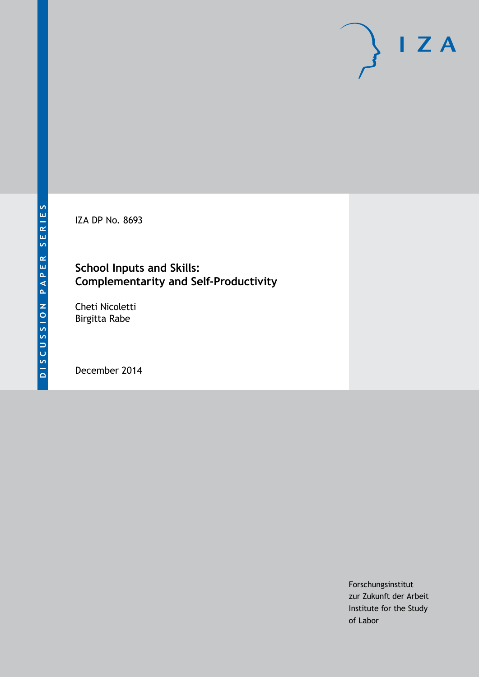IZA DP No. 8693

## **School Inputs and Skills: Complementarity and Self-Productivity**

Cheti Nicoletti Birgitta Rabe

December 2014

Forschungsinstitut zur Zukunft der Arbeit Institute for the Study of Labor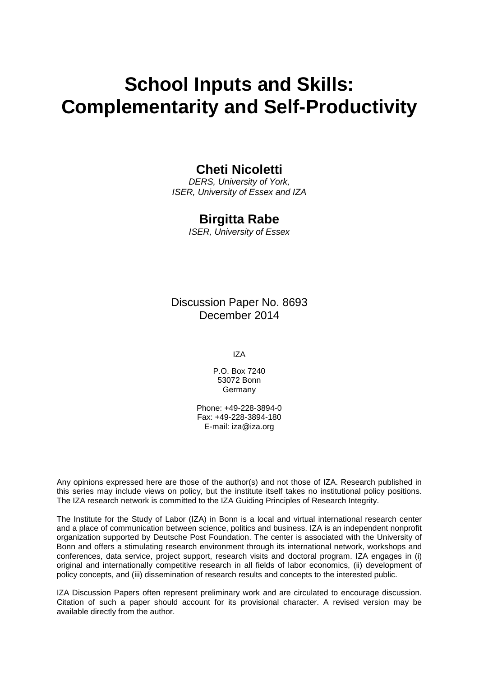# **School Inputs and Skills: Complementarity and Self-Productivity**

## **Cheti Nicoletti**

*DERS, University of York, ISER, University of Essex and IZA*

### **Birgitta Rabe**

*ISER, University of Essex*

Discussion Paper No. 8693 December 2014

IZA

P.O. Box 7240 53072 Bonn Germany

Phone: +49-228-3894-0 Fax: +49-228-3894-180 E-mail: [iza@iza.org](mailto:iza@iza.org)

Any opinions expressed here are those of the author(s) and not those of IZA. Research published in this series may include views on policy, but the institute itself takes no institutional policy positions. The IZA research network is committed to the IZA Guiding Principles of Research Integrity.

The Institute for the Study of Labor (IZA) in Bonn is a local and virtual international research center and a place of communication between science, politics and business. IZA is an independent nonprofit organization supported by Deutsche Post Foundation. The center is associated with the University of Bonn and offers a stimulating research environment through its international network, workshops and conferences, data service, project support, research visits and doctoral program. IZA engages in (i) original and internationally competitive research in all fields of labor economics, (ii) development of policy concepts, and (iii) dissemination of research results and concepts to the interested public.

IZA Discussion Papers often represent preliminary work and are circulated to encourage discussion. Citation of such a paper should account for its provisional character. A revised version may be available directly from the author.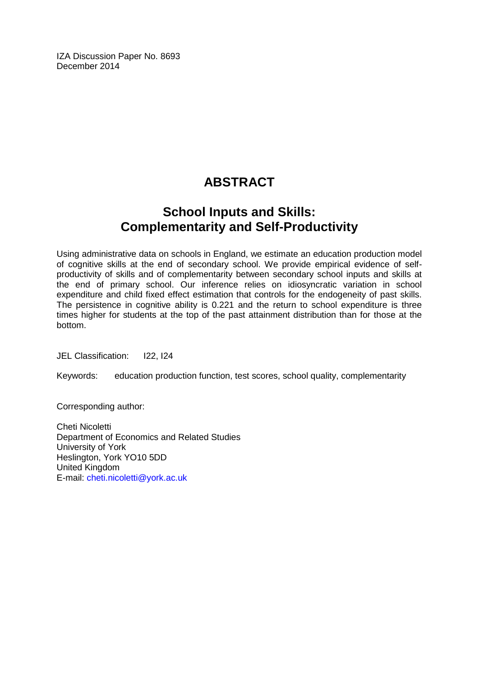IZA Discussion Paper No. 8693 December 2014

## **ABSTRACT**

## **School Inputs and Skills: Complementarity and Self-Productivity**

Using administrative data on schools in England, we estimate an education production model of cognitive skills at the end of secondary school. We provide empirical evidence of selfproductivity of skills and of complementarity between secondary school inputs and skills at the end of primary school. Our inference relies on idiosyncratic variation in school expenditure and child fixed effect estimation that controls for the endogeneity of past skills. The persistence in cognitive ability is 0.221 and the return to school expenditure is three times higher for students at the top of the past attainment distribution than for those at the bottom.

JEL Classification: I22, I24

Keywords: education production function, test scores, school quality, complementarity

Corresponding author:

Cheti Nicoletti Department of Economics and Related Studies University of York Heslington, York YO10 5DD United Kingdom E-mail: [cheti.nicoletti@york.ac.uk](mailto:cheti.nicoletti@york.ac.uk)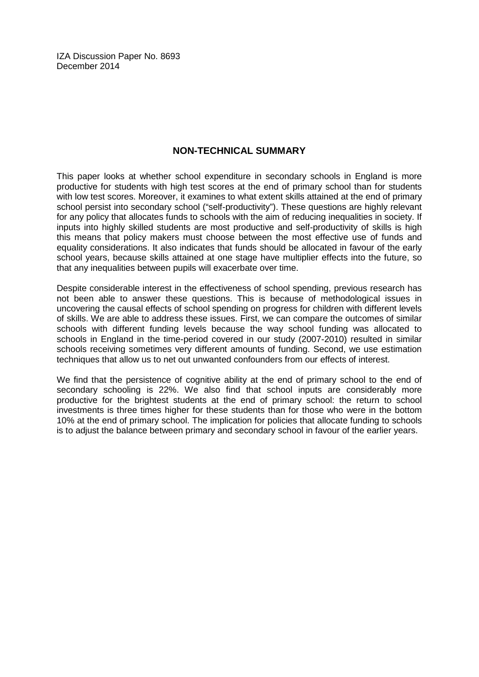IZA Discussion Paper No. 8693 December 2014

#### **NON-TECHNICAL SUMMARY**

This paper looks at whether school expenditure in secondary schools in England is more productive for students with high test scores at the end of primary school than for students with low test scores. Moreover, it examines to what extent skills attained at the end of primary school persist into secondary school ("self-productivity"). These questions are highly relevant for any policy that allocates funds to schools with the aim of reducing inequalities in society. If inputs into highly skilled students are most productive and self-productivity of skills is high this means that policy makers must choose between the most effective use of funds and equality considerations. It also indicates that funds should be allocated in favour of the early school years, because skills attained at one stage have multiplier effects into the future, so that any inequalities between pupils will exacerbate over time.

Despite considerable interest in the effectiveness of school spending, previous research has not been able to answer these questions. This is because of methodological issues in uncovering the causal effects of school spending on progress for children with different levels of skills. We are able to address these issues. First, we can compare the outcomes of similar schools with different funding levels because the way school funding was allocated to schools in England in the time-period covered in our study (2007-2010) resulted in similar schools receiving sometimes very different amounts of funding. Second, we use estimation techniques that allow us to net out unwanted confounders from our effects of interest.

We find that the persistence of cognitive ability at the end of primary school to the end of secondary schooling is 22%. We also find that school inputs are considerably more productive for the brightest students at the end of primary school: the return to school investments is three times higher for these students than for those who were in the bottom 10% at the end of primary school. The implication for policies that allocate funding to schools is to adjust the balance between primary and secondary school in favour of the earlier years.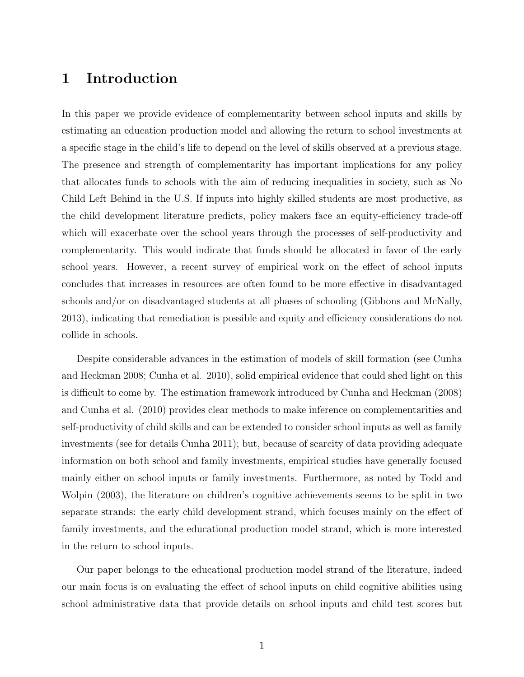## 1 Introduction

In this paper we provide evidence of complementarity between school inputs and skills by estimating an education production model and allowing the return to school investments at a specific stage in the child's life to depend on the level of skills observed at a previous stage. The presence and strength of complementarity has important implications for any policy that allocates funds to schools with the aim of reducing inequalities in society, such as No Child Left Behind in the U.S. If inputs into highly skilled students are most productive, as the child development literature predicts, policy makers face an equity-efficiency trade-off which will exacerbate over the school years through the processes of self-productivity and complementarity. This would indicate that funds should be allocated in favor of the early school years. However, a recent survey of empirical work on the effect of school inputs concludes that increases in resources are often found to be more effective in disadvantaged schools and/or on disadvantaged students at all phases of schooling (Gibbons and McNally, 2013), indicating that remediation is possible and equity and efficiency considerations do not collide in schools.

Despite considerable advances in the estimation of models of skill formation (see Cunha and Heckman 2008; Cunha et al. 2010), solid empirical evidence that could shed light on this is difficult to come by. The estimation framework introduced by Cunha and Heckman (2008) and Cunha et al. (2010) provides clear methods to make inference on complementarities and self-productivity of child skills and can be extended to consider school inputs as well as family investments (see for details Cunha 2011); but, because of scarcity of data providing adequate information on both school and family investments, empirical studies have generally focused mainly either on school inputs or family investments. Furthermore, as noted by Todd and Wolpin (2003), the literature on children's cognitive achievements seems to be split in two separate strands: the early child development strand, which focuses mainly on the effect of family investments, and the educational production model strand, which is more interested in the return to school inputs.

Our paper belongs to the educational production model strand of the literature, indeed our main focus is on evaluating the effect of school inputs on child cognitive abilities using school administrative data that provide details on school inputs and child test scores but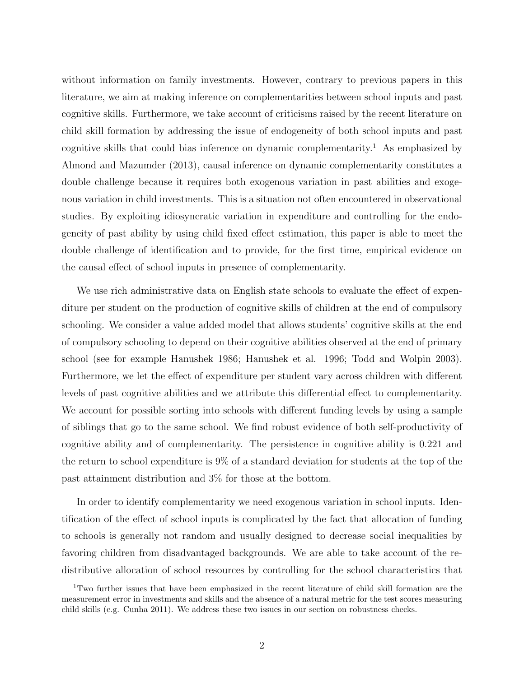without information on family investments. However, contrary to previous papers in this literature, we aim at making inference on complementarities between school inputs and past cognitive skills. Furthermore, we take account of criticisms raised by the recent literature on child skill formation by addressing the issue of endogeneity of both school inputs and past cognitive skills that could bias inference on dynamic complementarity.<sup>1</sup> As emphasized by Almond and Mazumder (2013), causal inference on dynamic complementarity constitutes a double challenge because it requires both exogenous variation in past abilities and exogenous variation in child investments. This is a situation not often encountered in observational studies. By exploiting idiosyncratic variation in expenditure and controlling for the endogeneity of past ability by using child fixed effect estimation, this paper is able to meet the double challenge of identification and to provide, for the first time, empirical evidence on the causal effect of school inputs in presence of complementarity.

We use rich administrative data on English state schools to evaluate the effect of expenditure per student on the production of cognitive skills of children at the end of compulsory schooling. We consider a value added model that allows students' cognitive skills at the end of compulsory schooling to depend on their cognitive abilities observed at the end of primary school (see for example Hanushek 1986; Hanushek et al. 1996; Todd and Wolpin 2003). Furthermore, we let the effect of expenditure per student vary across children with different levels of past cognitive abilities and we attribute this differential effect to complementarity. We account for possible sorting into schools with different funding levels by using a sample of siblings that go to the same school. We find robust evidence of both self-productivity of cognitive ability and of complementarity. The persistence in cognitive ability is 0.221 and the return to school expenditure is 9% of a standard deviation for students at the top of the past attainment distribution and 3% for those at the bottom.

In order to identify complementarity we need exogenous variation in school inputs. Identification of the effect of school inputs is complicated by the fact that allocation of funding to schools is generally not random and usually designed to decrease social inequalities by favoring children from disadvantaged backgrounds. We are able to take account of the redistributive allocation of school resources by controlling for the school characteristics that

<sup>1</sup>Two further issues that have been emphasized in the recent literature of child skill formation are the measurement error in investments and skills and the absence of a natural metric for the test scores measuring child skills (e.g. Cunha 2011). We address these two issues in our section on robustness checks.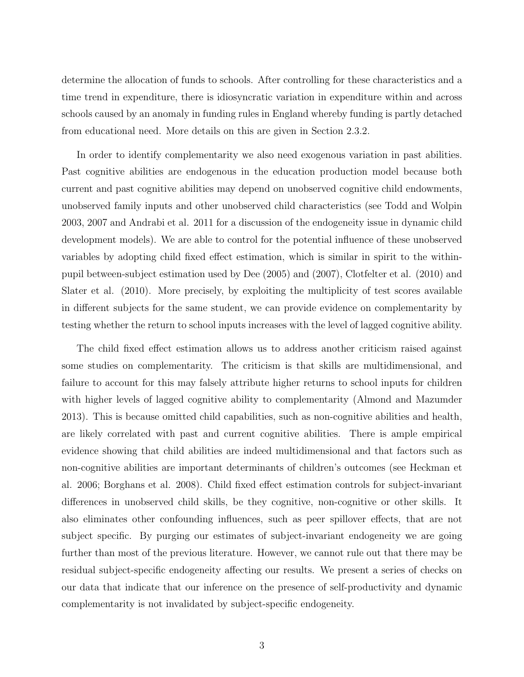determine the allocation of funds to schools. After controlling for these characteristics and a time trend in expenditure, there is idiosyncratic variation in expenditure within and across schools caused by an anomaly in funding rules in England whereby funding is partly detached from educational need. More details on this are given in Section 2.3.2.

In order to identify complementarity we also need exogenous variation in past abilities. Past cognitive abilities are endogenous in the education production model because both current and past cognitive abilities may depend on unobserved cognitive child endowments, unobserved family inputs and other unobserved child characteristics (see Todd and Wolpin 2003, 2007 and Andrabi et al. 2011 for a discussion of the endogeneity issue in dynamic child development models). We are able to control for the potential influence of these unobserved variables by adopting child fixed effect estimation, which is similar in spirit to the withinpupil between-subject estimation used by Dee (2005) and (2007), Clotfelter et al. (2010) and Slater et al. (2010). More precisely, by exploiting the multiplicity of test scores available in different subjects for the same student, we can provide evidence on complementarity by testing whether the return to school inputs increases with the level of lagged cognitive ability.

The child fixed effect estimation allows us to address another criticism raised against some studies on complementarity. The criticism is that skills are multidimensional, and failure to account for this may falsely attribute higher returns to school inputs for children with higher levels of lagged cognitive ability to complementarity (Almond and Mazumder 2013). This is because omitted child capabilities, such as non-cognitive abilities and health, are likely correlated with past and current cognitive abilities. There is ample empirical evidence showing that child abilities are indeed multidimensional and that factors such as non-cognitive abilities are important determinants of children's outcomes (see Heckman et al. 2006; Borghans et al. 2008). Child fixed effect estimation controls for subject-invariant differences in unobserved child skills, be they cognitive, non-cognitive or other skills. It also eliminates other confounding influences, such as peer spillover effects, that are not subject specific. By purging our estimates of subject-invariant endogeneity we are going further than most of the previous literature. However, we cannot rule out that there may be residual subject-specific endogeneity affecting our results. We present a series of checks on our data that indicate that our inference on the presence of self-productivity and dynamic complementarity is not invalidated by subject-specific endogeneity.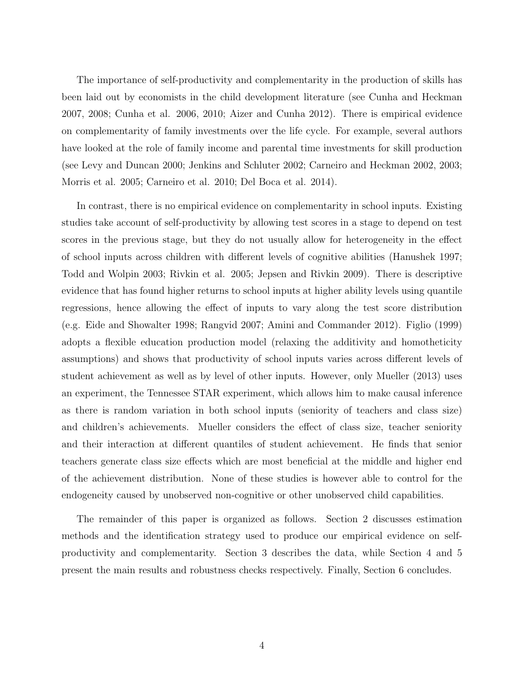The importance of self-productivity and complementarity in the production of skills has been laid out by economists in the child development literature (see Cunha and Heckman 2007, 2008; Cunha et al. 2006, 2010; Aizer and Cunha 2012). There is empirical evidence on complementarity of family investments over the life cycle. For example, several authors have looked at the role of family income and parental time investments for skill production (see Levy and Duncan 2000; Jenkins and Schluter 2002; Carneiro and Heckman 2002, 2003; Morris et al. 2005; Carneiro et al. 2010; Del Boca et al. 2014).

In contrast, there is no empirical evidence on complementarity in school inputs. Existing studies take account of self-productivity by allowing test scores in a stage to depend on test scores in the previous stage, but they do not usually allow for heterogeneity in the effect of school inputs across children with different levels of cognitive abilities (Hanushek 1997; Todd and Wolpin 2003; Rivkin et al. 2005; Jepsen and Rivkin 2009). There is descriptive evidence that has found higher returns to school inputs at higher ability levels using quantile regressions, hence allowing the effect of inputs to vary along the test score distribution (e.g. Eide and Showalter 1998; Rangvid 2007; Amini and Commander 2012). Figlio (1999) adopts a flexible education production model (relaxing the additivity and homotheticity assumptions) and shows that productivity of school inputs varies across different levels of student achievement as well as by level of other inputs. However, only Mueller (2013) uses an experiment, the Tennessee STAR experiment, which allows him to make causal inference as there is random variation in both school inputs (seniority of teachers and class size) and children's achievements. Mueller considers the effect of class size, teacher seniority and their interaction at different quantiles of student achievement. He finds that senior teachers generate class size effects which are most beneficial at the middle and higher end of the achievement distribution. None of these studies is however able to control for the endogeneity caused by unobserved non-cognitive or other unobserved child capabilities.

The remainder of this paper is organized as follows. Section 2 discusses estimation methods and the identification strategy used to produce our empirical evidence on selfproductivity and complementarity. Section 3 describes the data, while Section 4 and 5 present the main results and robustness checks respectively. Finally, Section 6 concludes.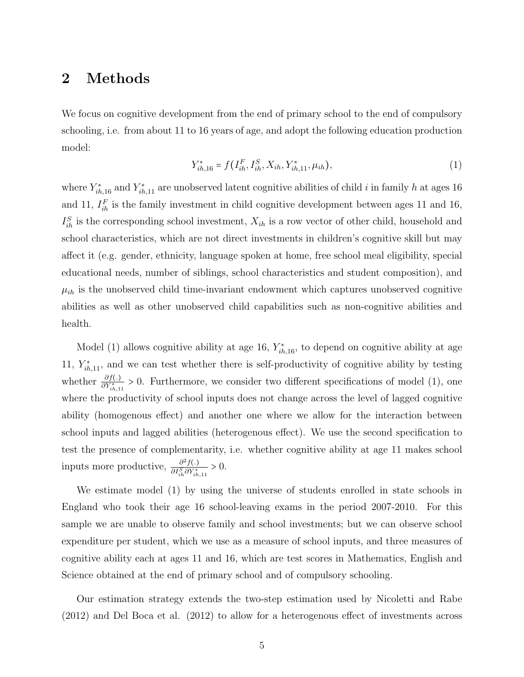## 2 Methods

We focus on cognitive development from the end of primary school to the end of compulsory schooling, i.e. from about 11 to 16 years of age, and adopt the following education production model:

$$
Y_{ih,16}^* = f(I_{ih}^F, I_{ih}^S, X_{ih}, Y_{ih,11}^*, \mu_{ih}),
$$
\n(1)

where  $Y_{ih,16}^*$  and  $Y_{ih,11}^*$  are unobserved latent cognitive abilities of child i in family h at ages 16 and 11,  $I_{ih}^F$  is the family investment in child cognitive development between ages 11 and 16,  $I_{ih}^S$  is the corresponding school investment,  $X_{ih}$  is a row vector of other child, household and school characteristics, which are not direct investments in children's cognitive skill but may affect it (e.g. gender, ethnicity, language spoken at home, free school meal eligibility, special educational needs, number of siblings, school characteristics and student composition), and  $\mu_{ih}$  is the unobserved child time-invariant endowment which captures unobserved cognitive abilities as well as other unobserved child capabilities such as non-cognitive abilities and health.

Model (1) allows cognitive ability at age 16,  $Y_{ih,16}^*$ , to depend on cognitive ability at age 11,  $Y_{ih,11}^*$ , and we can test whether there is self-productivity of cognitive ability by testing whether  $\frac{\partial f(.)}{\partial Y_{th,11}^*} > 0$ . Furthermore, we consider two different specifications of model (1), one where the productivity of school inputs does not change across the level of lagged cognitive ability (homogenous effect) and another one where we allow for the interaction between school inputs and lagged abilities (heterogenous effect). We use the second specification to test the presence of complementarity, i.e. whether cognitive ability at age 11 makes school inputs more productive,  $\frac{\partial^2 f(.)}{\partial I^S \partial V^*}$  $\frac{\partial^2 f(.)}{\partial I_{ih}^S \partial Y_{ih,11}^*} > 0.$ 

We estimate model (1) by using the universe of students enrolled in state schools in England who took their age 16 school-leaving exams in the period 2007-2010. For this sample we are unable to observe family and school investments; but we can observe school expenditure per student, which we use as a measure of school inputs, and three measures of cognitive ability each at ages 11 and 16, which are test scores in Mathematics, English and Science obtained at the end of primary school and of compulsory schooling.

Our estimation strategy extends the two-step estimation used by Nicoletti and Rabe (2012) and Del Boca et al. (2012) to allow for a heterogenous effect of investments across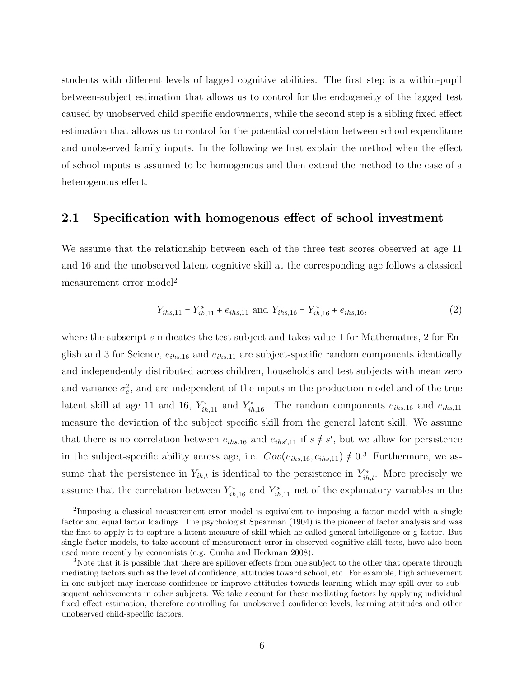students with different levels of lagged cognitive abilities. The first step is a within-pupil between-subject estimation that allows us to control for the endogeneity of the lagged test caused by unobserved child specific endowments, while the second step is a sibling fixed effect estimation that allows us to control for the potential correlation between school expenditure and unobserved family inputs. In the following we first explain the method when the effect of school inputs is assumed to be homogenous and then extend the method to the case of a heterogenous effect.

#### 2.1 Specification with homogenous effect of school investment

We assume that the relationship between each of the three test scores observed at age 11 and 16 and the unobserved latent cognitive skill at the corresponding age follows a classical measurement error model<sup>2</sup>

$$
Y_{ihs,11} = Y_{ih,11}^* + e_{ihs,11} \text{ and } Y_{ihs,16} = Y_{ih,16}^* + e_{ihs,16},\tag{2}
$$

where the subscript  $s$  indicates the test subject and takes value 1 for Mathematics, 2 for English and 3 for Science,  $e_{ihs,16}$  and  $e_{ihs,11}$  are subject-specific random components identically and independently distributed across children, households and test subjects with mean zero and variance  $\sigma_e^2$ , and are independent of the inputs in the production model and of the true latent skill at age 11 and 16,  $Y_{ih,11}^*$  and  $Y_{ih,16}^*$ . The random components  $e_{ihs,16}$  and  $e_{ihs,11}$ measure the deviation of the subject specific skill from the general latent skill. We assume that there is no correlation between  $e_{ihs,16}$  and  $e_{ihs',11}$  if  $s \neq s'$ , but we allow for persistence in the subject-specific ability across age, i.e.  $Cov(e_{ihs,10}, e_{ihs,11}) \neq 0.3$  Furthermore, we assume that the persistence in  $Y_{ih,t}$  is identical to the persistence in  $Y_{ih,t}^*$ . More precisely we assume that the correlation between  $Y_{ih,16}^*$  and  $Y_{ih,11}^*$  net of the explanatory variables in the

<sup>&</sup>lt;sup>2</sup>Imposing a classical measurement error model is equivalent to imposing a factor model with a single factor and equal factor loadings. The psychologist Spearman (1904) is the pioneer of factor analysis and was the first to apply it to capture a latent measure of skill which he called general intelligence or g-factor. But single factor models, to take account of measurement error in observed cognitive skill tests, have also been used more recently by economists (e.g. Cunha and Heckman 2008).

<sup>&</sup>lt;sup>3</sup>Note that it is possible that there are spillover effects from one subject to the other that operate through mediating factors such as the level of confidence, attitudes toward school, etc. For example, high achievement in one subject may increase confidence or improve attitudes towards learning which may spill over to subsequent achievements in other subjects. We take account for these mediating factors by applying individual fixed effect estimation, therefore controlling for unobserved confidence levels, learning attitudes and other unobserved child-specific factors.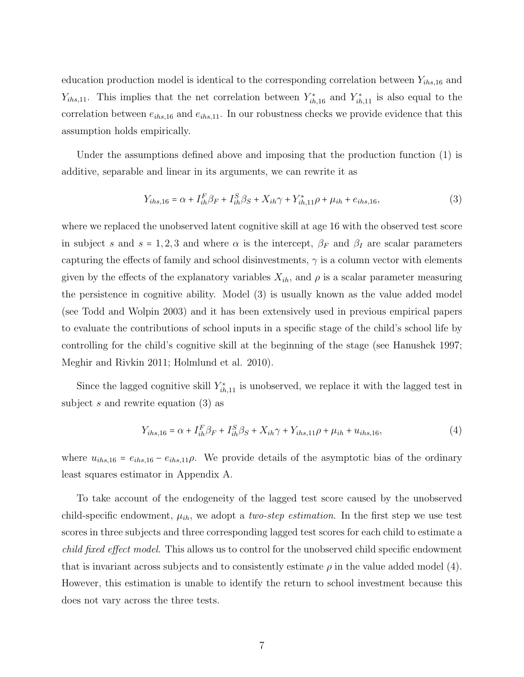education production model is identical to the corresponding correlation between  $Y_{ihs,16}$  and  $Y_{ihs,11}$ . This implies that the net correlation between  $Y_{ih,16}^*$  and  $Y_{ih,11}^*$  is also equal to the correlation between  $e_{ihs,16}$  and  $e_{ihs,11}$ . In our robustness checks we provide evidence that this assumption holds empirically.

Under the assumptions defined above and imposing that the production function (1) is additive, separable and linear in its arguments, we can rewrite it as

$$
Y_{ihs,16} = \alpha + I_{ih}^F \beta_F + I_{ih}^S \beta_S + X_{ih} \gamma + Y_{ih,11}^* \rho + \mu_{ih} + e_{ihs,16},\tag{3}
$$

where we replaced the unobserved latent cognitive skill at age 16 with the observed test score in subject s and s = 1,2,3 and where  $\alpha$  is the intercept,  $\beta_F$  and  $\beta_I$  are scalar parameters capturing the effects of family and school disinvestments,  $\gamma$  is a column vector with elements given by the effects of the explanatory variables  $X_{ih}$ , and  $\rho$  is a scalar parameter measuring the persistence in cognitive ability. Model (3) is usually known as the value added model (see Todd and Wolpin 2003) and it has been extensively used in previous empirical papers to evaluate the contributions of school inputs in a specific stage of the child's school life by controlling for the child's cognitive skill at the beginning of the stage (see Hanushek 1997; Meghir and Rivkin 2011; Holmlund et al. 2010).

Since the lagged cognitive skill  $Y_{ih,11}^*$  is unobserved, we replace it with the lagged test in subject s and rewrite equation (3) as

$$
Y_{ihs,16} = \alpha + I_{ih}^F \beta_F + I_{ih}^S \beta_S + X_{ih} \gamma + Y_{ihs,11} \rho + \mu_{ih} + u_{ihs,16},\tag{4}
$$

where  $u_{ihs,16} = e_{ihs,16} - e_{ihs,11}\rho$ . We provide details of the asymptotic bias of the ordinary least squares estimator in Appendix A.

To take account of the endogeneity of the lagged test score caused by the unobserved child-specific endowment,  $\mu_{ih}$ , we adopt a *two-step estimation*. In the first step we use test scores in three subjects and three corresponding lagged test scores for each child to estimate a child fixed effect model. This allows us to control for the unobserved child specific endowment that is invariant across subjects and to consistently estimate  $\rho$  in the value added model (4). However, this estimation is unable to identify the return to school investment because this does not vary across the three tests.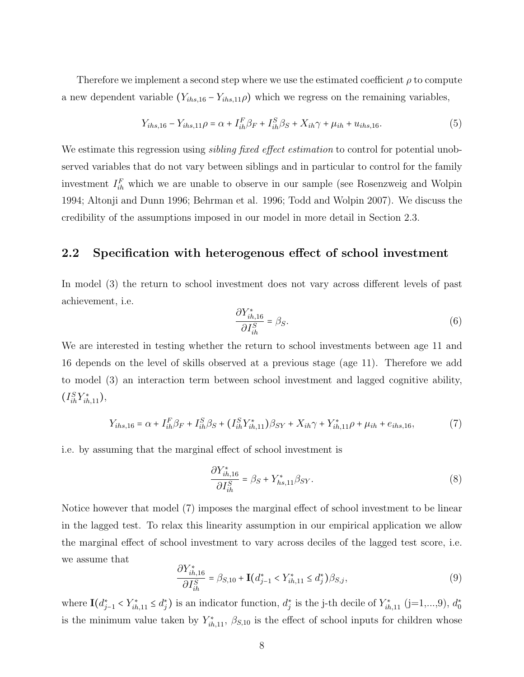Therefore we implement a second step where we use the estimated coefficient  $\rho$  to compute a new dependent variable  $(Y_{ihs,16} - Y_{ihs,116})$  which we regress on the remaining variables,

$$
Y_{ihs,16} - Y_{ihs,11}\rho = \alpha + I_{ih}^F \beta_F + I_{ih}^S \beta_S + X_{ih} \gamma + \mu_{ih} + u_{ihs,16}.
$$
 (5)

We estimate this regression using *sibling fixed effect estimation* to control for potential unobserved variables that do not vary between siblings and in particular to control for the family investment  $I_{ih}^F$  which we are unable to observe in our sample (see Rosenzweig and Wolpin 1994; Altonji and Dunn 1996; Behrman et al. 1996; Todd and Wolpin 2007). We discuss the credibility of the assumptions imposed in our model in more detail in Section 2.3.

#### 2.2 Specification with heterogenous effect of school investment

In model (3) the return to school investment does not vary across different levels of past achievement, i.e.

$$
\frac{\partial Y_{ih,16}^*}{\partial I_{ih}^S} = \beta_S.
$$
\n(6)

We are interested in testing whether the return to school investments between age 11 and 16 depends on the level of skills observed at a previous stage (age 11). Therefore we add to model (3) an interaction term between school investment and lagged cognitive ability,  $(I_{ih}^{S}Y_{ih,11}^{*}),$ 

$$
Y_{ihs,16} = \alpha + I_{ih}^F \beta_F + I_{ih}^S \beta_S + (I_{ih}^S Y_{ih,11}^*) \beta_{SY} + X_{ih} \gamma + Y_{ih,11}^* \rho + \mu_{ih} + e_{ihs,16},\tag{7}
$$

i.e. by assuming that the marginal effect of school investment is

$$
\frac{\partial Y_{ih,16}^*}{\partial I_{ih}^S} = \beta_S + Y_{hs,11}^* \beta_{SY}.\tag{8}
$$

Notice however that model (7) imposes the marginal effect of school investment to be linear in the lagged test. To relax this linearity assumption in our empirical application we allow the marginal effect of school investment to vary across deciles of the lagged test score, i.e. we assume that ∂Y <sup>∗</sup>

$$
\frac{\partial Y_{ih,16}^*}{\partial I_{ih}^S} = \beta_{S,10} + \mathbf{I}(d_{j-1}^* < Y_{ih,11}^* \le d_j^*)\beta_{S,j},\tag{9}
$$

where  $\mathbf{I}(d_{j-1}^* \lt Y_{ih,11}^* \leq d_j^*)$  is an indicator function,  $d_j^*$  is the j-th decile of  $Y_{ih,11}^*$  (j=1,...,9),  $d_0^*$ is the minimum value taken by  $Y_{ih,11}^*$ ,  $\beta_{S,10}$  is the effect of school inputs for children whose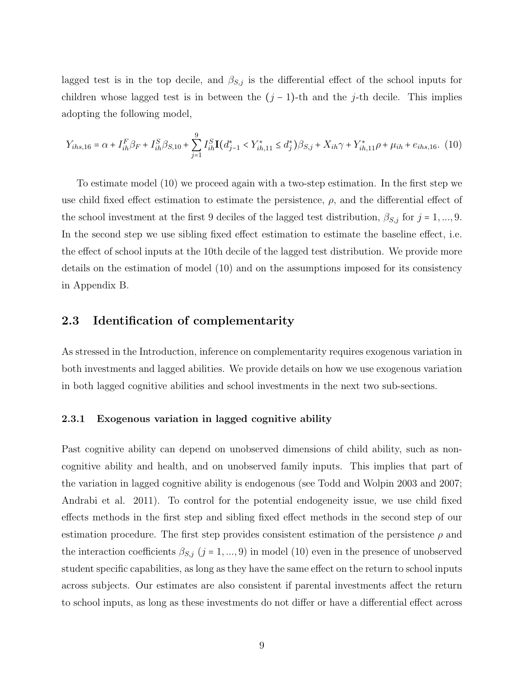lagged test is in the top decile, and  $\beta_{S,j}$  is the differential effect of the school inputs for children whose lagged test is in between the  $(j-1)$ -th and the j-th decile. This implies adopting the following model,

$$
Y_{ihs,16} = \alpha + I_{ih}^F \beta_F + I_{ih}^S \beta_{S,10} + \sum_{j=1}^9 I_{ih}^S \mathbf{I}(d_{j-1}^* < Y_{ih,11}^* \le d_j^*) \beta_{S,j} + X_{ih} \gamma + Y_{ih,11}^* \rho + \mu_{ih} + e_{ihs,16}.\tag{10}
$$

To estimate model (10) we proceed again with a two-step estimation. In the first step we use child fixed effect estimation to estimate the persistence,  $\rho$ , and the differential effect of the school investment at the first 9 deciles of the lagged test distribution,  $\beta_{S,j}$  for  $j = 1, ..., 9$ . In the second step we use sibling fixed effect estimation to estimate the baseline effect, i.e. the effect of school inputs at the 10th decile of the lagged test distribution. We provide more details on the estimation of model (10) and on the assumptions imposed for its consistency in Appendix B.

#### 2.3 Identification of complementarity

As stressed in the Introduction, inference on complementarity requires exogenous variation in both investments and lagged abilities. We provide details on how we use exogenous variation in both lagged cognitive abilities and school investments in the next two sub-sections.

#### 2.3.1 Exogenous variation in lagged cognitive ability

Past cognitive ability can depend on unobserved dimensions of child ability, such as noncognitive ability and health, and on unobserved family inputs. This implies that part of the variation in lagged cognitive ability is endogenous (see Todd and Wolpin 2003 and 2007; Andrabi et al. 2011). To control for the potential endogeneity issue, we use child fixed effects methods in the first step and sibling fixed effect methods in the second step of our estimation procedure. The first step provides consistent estimation of the persistence  $\rho$  and the interaction coefficients  $\beta_{S,j}$  (j = 1, ..., 9) in model (10) even in the presence of unobserved student specific capabilities, as long as they have the same effect on the return to school inputs across subjects. Our estimates are also consistent if parental investments affect the return to school inputs, as long as these investments do not differ or have a differential effect across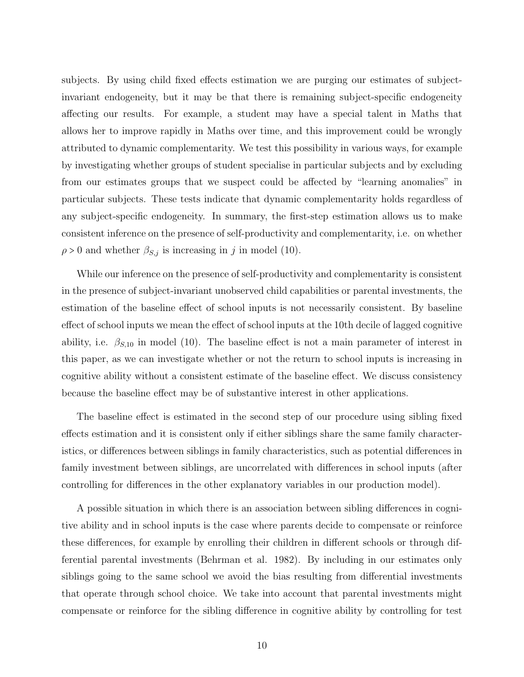subjects. By using child fixed effects estimation we are purging our estimates of subjectinvariant endogeneity, but it may be that there is remaining subject-specific endogeneity affecting our results. For example, a student may have a special talent in Maths that allows her to improve rapidly in Maths over time, and this improvement could be wrongly attributed to dynamic complementarity. We test this possibility in various ways, for example by investigating whether groups of student specialise in particular subjects and by excluding from our estimates groups that we suspect could be affected by "learning anomalies" in particular subjects. These tests indicate that dynamic complementarity holds regardless of any subject-specific endogeneity. In summary, the first-step estimation allows us to make consistent inference on the presence of self-productivity and complementarity, i.e. on whether  $\rho > 0$  and whether  $\beta_{S,j}$  is increasing in j in model (10).

While our inference on the presence of self-productivity and complementarity is consistent in the presence of subject-invariant unobserved child capabilities or parental investments, the estimation of the baseline effect of school inputs is not necessarily consistent. By baseline effect of school inputs we mean the effect of school inputs at the 10th decile of lagged cognitive ability, i.e.  $\beta_{S,10}$  in model (10). The baseline effect is not a main parameter of interest in this paper, as we can investigate whether or not the return to school inputs is increasing in cognitive ability without a consistent estimate of the baseline effect. We discuss consistency because the baseline effect may be of substantive interest in other applications.

The baseline effect is estimated in the second step of our procedure using sibling fixed effects estimation and it is consistent only if either siblings share the same family characteristics, or differences between siblings in family characteristics, such as potential differences in family investment between siblings, are uncorrelated with differences in school inputs (after controlling for differences in the other explanatory variables in our production model).

A possible situation in which there is an association between sibling differences in cognitive ability and in school inputs is the case where parents decide to compensate or reinforce these differences, for example by enrolling their children in different schools or through differential parental investments (Behrman et al. 1982). By including in our estimates only siblings going to the same school we avoid the bias resulting from differential investments that operate through school choice. We take into account that parental investments might compensate or reinforce for the sibling difference in cognitive ability by controlling for test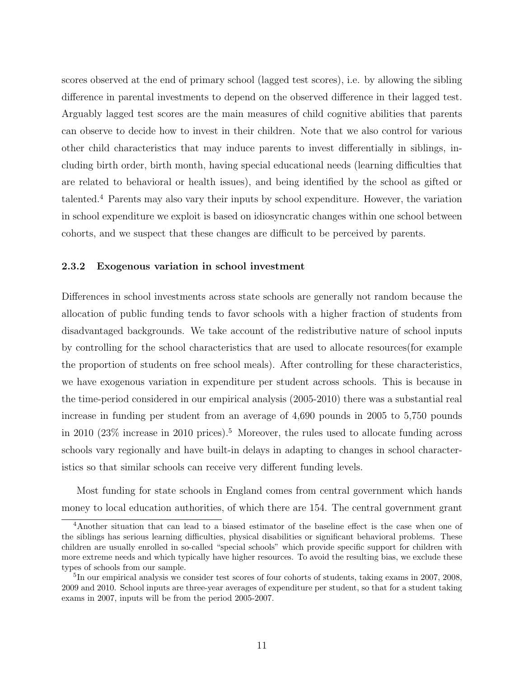scores observed at the end of primary school (lagged test scores), i.e. by allowing the sibling difference in parental investments to depend on the observed difference in their lagged test. Arguably lagged test scores are the main measures of child cognitive abilities that parents can observe to decide how to invest in their children. Note that we also control for various other child characteristics that may induce parents to invest differentially in siblings, including birth order, birth month, having special educational needs (learning difficulties that are related to behavioral or health issues), and being identified by the school as gifted or talented.<sup>4</sup> Parents may also vary their inputs by school expenditure. However, the variation in school expenditure we exploit is based on idiosyncratic changes within one school between cohorts, and we suspect that these changes are difficult to be perceived by parents.

#### 2.3.2 Exogenous variation in school investment

Differences in school investments across state schools are generally not random because the allocation of public funding tends to favor schools with a higher fraction of students from disadvantaged backgrounds. We take account of the redistributive nature of school inputs by controlling for the school characteristics that are used to allocate resources(for example the proportion of students on free school meals). After controlling for these characteristics, we have exogenous variation in expenditure per student across schools. This is because in the time-period considered in our empirical analysis (2005-2010) there was a substantial real increase in funding per student from an average of 4,690 pounds in 2005 to 5,750 pounds in 2010 (23\%) increase in 2010 prices).<sup>5</sup> Moreover, the rules used to allocate funding across schools vary regionally and have built-in delays in adapting to changes in school characteristics so that similar schools can receive very different funding levels.

Most funding for state schools in England comes from central government which hands money to local education authorities, of which there are 154. The central government grant

<sup>4</sup>Another situation that can lead to a biased estimator of the baseline effect is the case when one of the siblings has serious learning difficulties, physical disabilities or significant behavioral problems. These children are usually enrolled in so-called "special schools" which provide specific support for children with more extreme needs and which typically have higher resources. To avoid the resulting bias, we exclude these types of schools from our sample.

<sup>&</sup>lt;sup>5</sup>In our empirical analysis we consider test scores of four cohorts of students, taking exams in 2007, 2008, 2009 and 2010. School inputs are three-year averages of expenditure per student, so that for a student taking exams in 2007, inputs will be from the period 2005-2007.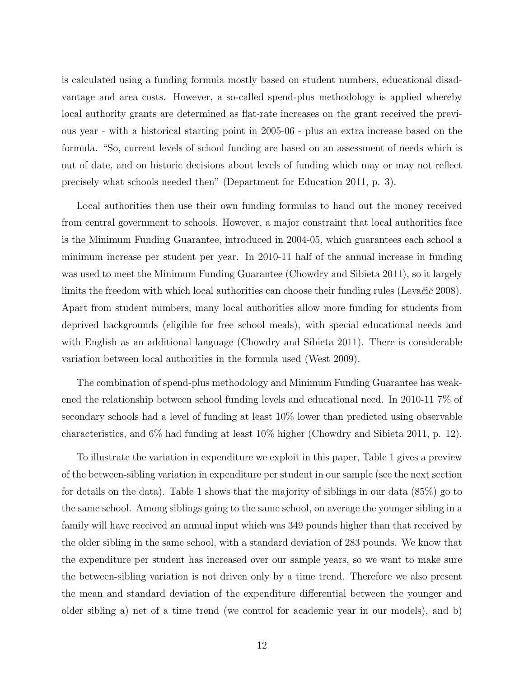is calculated using a funding formula mostly based on student numbers, educational disadvantage and area costs. However, a so-called spend-plus methodology is applied whereby local authority grants are determined as flat-rate increases on the grant received the previous year - with a historical starting point in 2005-06 - plus an extra increase based on the formula. "So, current levels of school funding are based on an assessment of needs which is out of date, and on historic decisions about levels of funding which may or may not reflect precisely what schools needed then" (Department for Education 2011, p. 3).

Local authorities then use their own funding formulas to hand out the money received from central government to schools. However, a major constraint that local authorities face is the Minimum Funding Guarantee, introduced in 2004-05, which guarantees each school a minimum increase per student per year. In 2010-11 half of the annual increase in funding was used to meet the Minimum Funding Guarantee (Chowdry and Sibieta 2011), so it largely limits the freedom with which local authorities can choose their funding rules (Levačič 2008). Apart from student numbers, many local authorities allow more funding for students from deprived backgrounds (eligible for free school meals), with special educational needs and with English as an additional language (Chowdry and Sibieta 2011). There is considerable variation between local authorities in the formula used (West 2009).

The combination of spend-plus methodology and Minimum Funding Guarantee has weakened the relationship between school funding levels and educational need. In 2010-11 7% of secondary schools had a level of funding at least 10% lower than predicted using observable characteristics, and 6% had funding at least 10% higher (Chowdry and Sibieta 2011, p. 12).

To illustrate the variation in expenditure we exploit in this paper, Table 1 gives a preview of the between-sibling variation in expenditure per student in our sample (see the next section for details on the data). Table 1 shows that the majority of siblings in our data (85%) go to the same school. Among siblings going to the same school, on average the younger sibling in a family will have received an annual input which was 349 pounds higher than that received by the older sibling in the same school, with a standard deviation of 283 pounds. We know that the expenditure per student has increased over our sample years, so we want to make sure the between-sibling variation is not driven only by a time trend. Therefore we also present the mean and standard deviation of the expenditure differential between the younger and older sibling a) net of a time trend (we control for academic year in our models), and b)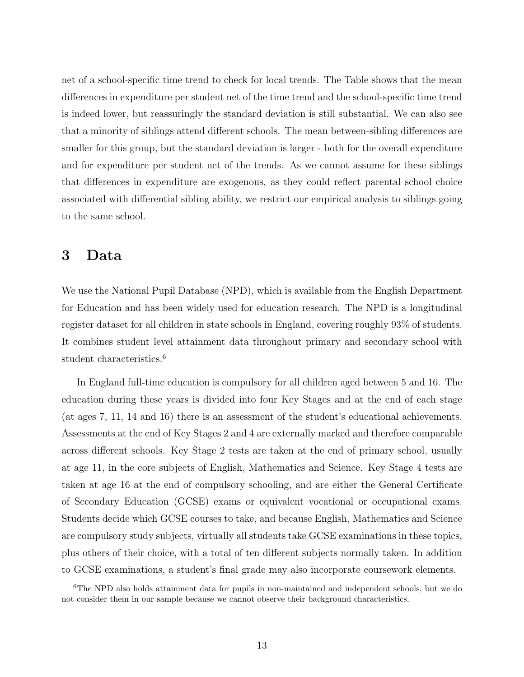net of a school-specific time trend to check for local trends. The Table shows that the mean differences in expenditure per student net of the time trend and the school-specific time trend is indeed lower, but reassuringly the standard deviation is still substantial. We can also see that a minority of siblings attend different schools. The mean between-sibling differences are smaller for this group, but the standard deviation is larger - both for the overall expenditure and for expenditure per student net of the trends. As we cannot assume for these siblings that differences in expenditure are exogenous, as they could reflect parental school choice associated with differential sibling ability, we restrict our empirical analysis to siblings going to the same school.

## 3 Data

We use the National Pupil Database (NPD), which is available from the English Department for Education and has been widely used for education research. The NPD is a longitudinal register dataset for all children in state schools in England, covering roughly 93% of students. It combines student level attainment data throughout primary and secondary school with student characteristics.<sup>6</sup>

In England full-time education is compulsory for all children aged between 5 and 16. The education during these years is divided into four Key Stages and at the end of each stage (at ages 7, 11, 14 and 16) there is an assessment of the student's educational achievements. Assessments at the end of Key Stages 2 and 4 are externally marked and therefore comparable across different schools. Key Stage 2 tests are taken at the end of primary school, usually at age 11, in the core subjects of English, Mathematics and Science. Key Stage 4 tests are taken at age 16 at the end of compulsory schooling, and are either the General Certificate of Secondary Education (GCSE) exams or equivalent vocational or occupational exams. Students decide which GCSE courses to take, and because English, Mathematics and Science are compulsory study subjects, virtually all students take GCSE examinations in these topics, plus others of their choice, with a total of ten different subjects normally taken. In addition to GCSE examinations, a student's final grade may also incorporate coursework elements.

<sup>&</sup>lt;sup>6</sup>The NPD also holds attainment data for pupils in non-maintained and independent schools, but we do not consider them in our sample because we cannot observe their background characteristics.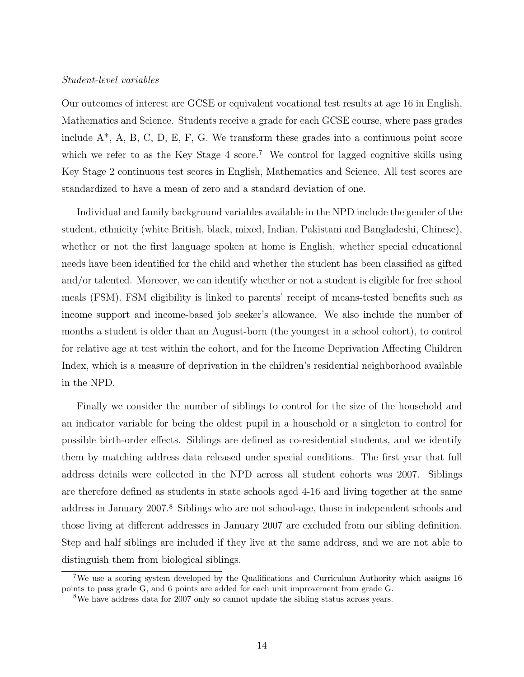#### Student-level variables

Our outcomes of interest are GCSE or equivalent vocational test results at age 16 in English, Mathematics and Science. Students receive a grade for each GCSE course, where pass grades include  $A^*$ , A, B, C, D, E, F, G. We transform these grades into a continuous point score which we refer to as the Key Stage 4 score.<sup>7</sup> We control for lagged cognitive skills using Key Stage 2 continuous test scores in English, Mathematics and Science. All test scores are standardized to have a mean of zero and a standard deviation of one.

Individual and family background variables available in the NPD include the gender of the student, ethnicity (white British, black, mixed, Indian, Pakistani and Bangladeshi, Chinese), whether or not the first language spoken at home is English, whether special educational needs have been identified for the child and whether the student has been classified as gifted and/or talented. Moreover, we can identify whether or not a student is eligible for free school meals (FSM). FSM eligibility is linked to parents' receipt of means-tested benefits such as income support and income-based job seeker's allowance. We also include the number of months a student is older than an August-born (the youngest in a school cohort), to control for relative age at test within the cohort, and for the Income Deprivation Affecting Children Index, which is a measure of deprivation in the children's residential neighborhood available in the NPD.

Finally we consider the number of siblings to control for the size of the household and an indicator variable for being the oldest pupil in a household or a singleton to control for possible birth-order effects. Siblings are defined as co-residential students, and we identify them by matching address data released under special conditions. The first year that full address details were collected in the NPD across all student cohorts was 2007. Siblings are therefore defined as students in state schools aged 4-16 and living together at the same address in January 2007.<sup>8</sup> Siblings who are not school-age, those in independent schools and those living at different addresses in January 2007 are excluded from our sibling definition. Step and half siblings are included if they live at the same address, and we are not able to distinguish them from biological siblings.

<sup>&</sup>lt;sup>7</sup>We use a scoring system developed by the Qualifications and Curriculum Authority which assigns 16 points to pass grade G, and 6 points are added for each unit improvement from grade G.

<sup>&</sup>lt;sup>8</sup>We have address data for 2007 only so cannot update the sibling status across years.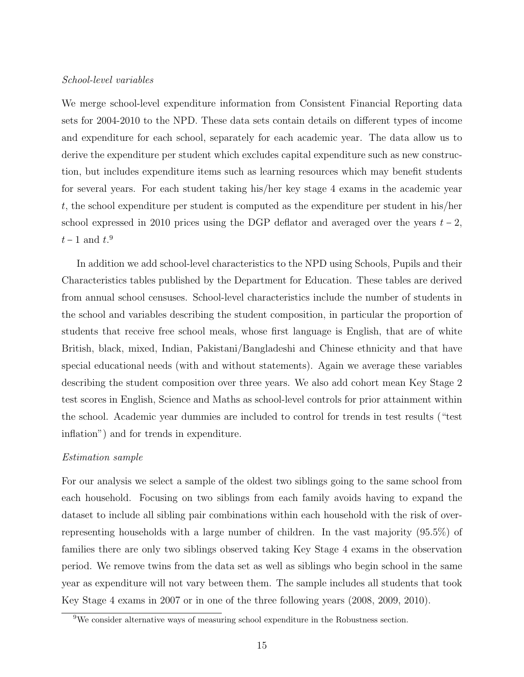#### School-level variables

We merge school-level expenditure information from Consistent Financial Reporting data sets for 2004-2010 to the NPD. These data sets contain details on different types of income and expenditure for each school, separately for each academic year. The data allow us to derive the expenditure per student which excludes capital expenditure such as new construction, but includes expenditure items such as learning resources which may benefit students for several years. For each student taking his/her key stage 4 exams in the academic year t, the school expenditure per student is computed as the expenditure per student in his/her school expressed in 2010 prices using the DGP deflator and averaged over the years  $t - 2$ ,  $t-1$  and  $t<sup>9</sup>$ 

In addition we add school-level characteristics to the NPD using Schools, Pupils and their Characteristics tables published by the Department for Education. These tables are derived from annual school censuses. School-level characteristics include the number of students in the school and variables describing the student composition, in particular the proportion of students that receive free school meals, whose first language is English, that are of white British, black, mixed, Indian, Pakistani/Bangladeshi and Chinese ethnicity and that have special educational needs (with and without statements). Again we average these variables describing the student composition over three years. We also add cohort mean Key Stage 2 test scores in English, Science and Maths as school-level controls for prior attainment within the school. Academic year dummies are included to control for trends in test results ("test inflation") and for trends in expenditure.

#### Estimation sample

For our analysis we select a sample of the oldest two siblings going to the same school from each household. Focusing on two siblings from each family avoids having to expand the dataset to include all sibling pair combinations within each household with the risk of overrepresenting households with a large number of children. In the vast majority (95.5%) of families there are only two siblings observed taking Key Stage 4 exams in the observation period. We remove twins from the data set as well as siblings who begin school in the same year as expenditure will not vary between them. The sample includes all students that took Key Stage 4 exams in 2007 or in one of the three following years (2008, 2009, 2010).

<sup>9</sup>We consider alternative ways of measuring school expenditure in the Robustness section.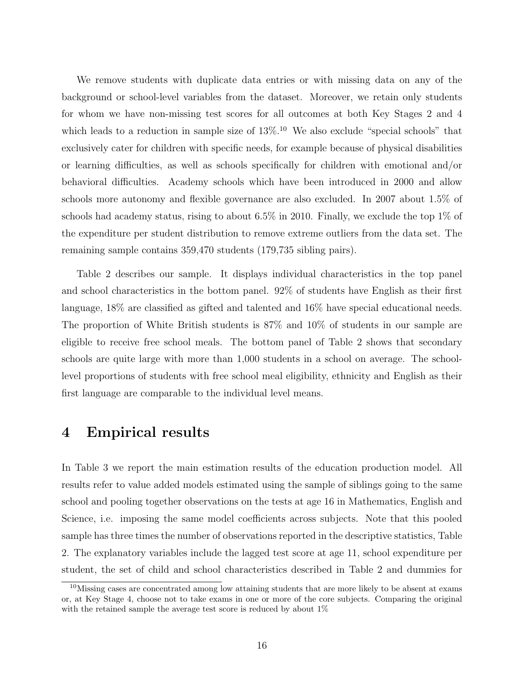We remove students with duplicate data entries or with missing data on any of the background or school-level variables from the dataset. Moreover, we retain only students for whom we have non-missing test scores for all outcomes at both Key Stages 2 and 4 which leads to a reduction in sample size of  $13\%$ .<sup>10</sup> We also exclude "special schools" that exclusively cater for children with specific needs, for example because of physical disabilities or learning difficulties, as well as schools specifically for children with emotional and/or behavioral difficulties. Academy schools which have been introduced in 2000 and allow schools more autonomy and flexible governance are also excluded. In 2007 about 1.5% of schools had academy status, rising to about  $6.5\%$  in 2010. Finally, we exclude the top 1% of the expenditure per student distribution to remove extreme outliers from the data set. The remaining sample contains 359,470 students (179,735 sibling pairs).

Table 2 describes our sample. It displays individual characteristics in the top panel and school characteristics in the bottom panel. 92% of students have English as their first language, 18% are classified as gifted and talented and 16% have special educational needs. The proportion of White British students is 87% and 10% of students in our sample are eligible to receive free school meals. The bottom panel of Table 2 shows that secondary schools are quite large with more than 1,000 students in a school on average. The schoollevel proportions of students with free school meal eligibility, ethnicity and English as their first language are comparable to the individual level means.

### 4 Empirical results

In Table 3 we report the main estimation results of the education production model. All results refer to value added models estimated using the sample of siblings going to the same school and pooling together observations on the tests at age 16 in Mathematics, English and Science, i.e. imposing the same model coefficients across subjects. Note that this pooled sample has three times the number of observations reported in the descriptive statistics, Table 2. The explanatory variables include the lagged test score at age 11, school expenditure per student, the set of child and school characteristics described in Table 2 and dummies for

<sup>10</sup>Missing cases are concentrated among low attaining students that are more likely to be absent at exams or, at Key Stage 4, choose not to take exams in one or more of the core subjects. Comparing the original with the retained sample the average test score is reduced by about  $1\%$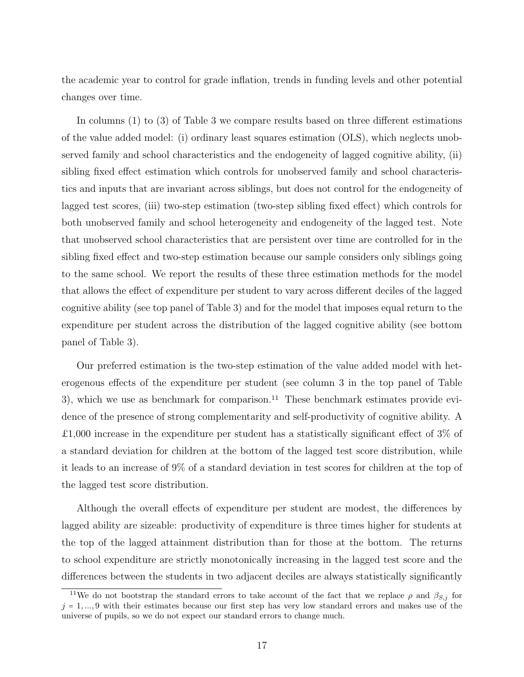the academic year to control for grade inflation, trends in funding levels and other potential changes over time.

In columns (1) to (3) of Table 3 we compare results based on three different estimations of the value added model: (i) ordinary least squares estimation (OLS), which neglects unobserved family and school characteristics and the endogeneity of lagged cognitive ability, (ii) sibling fixed effect estimation which controls for unobserved family and school characteristics and inputs that are invariant across siblings, but does not control for the endogeneity of lagged test scores, (iii) two-step estimation (two-step sibling fixed effect) which controls for both unobserved family and school heterogeneity and endogeneity of the lagged test. Note that unobserved school characteristics that are persistent over time are controlled for in the sibling fixed effect and two-step estimation because our sample considers only siblings going to the same school. We report the results of these three estimation methods for the model that allows the effect of expenditure per student to vary across different deciles of the lagged cognitive ability (see top panel of Table 3) and for the model that imposes equal return to the expenditure per student across the distribution of the lagged cognitive ability (see bottom panel of Table 3).

Our preferred estimation is the two-step estimation of the value added model with heterogenous effects of the expenditure per student (see column 3 in the top panel of Table 3), which we use as benchmark for comparison.<sup>11</sup> These benchmark estimates provide evidence of the presence of strong complementarity and self-productivity of cognitive ability. A £1,000 increase in the expenditure per student has a statistically significant effect of 3% of a standard deviation for children at the bottom of the lagged test score distribution, while it leads to an increase of 9% of a standard deviation in test scores for children at the top of the lagged test score distribution.

Although the overall effects of expenditure per student are modest, the differences by lagged ability are sizeable: productivity of expenditure is three times higher for students at the top of the lagged attainment distribution than for those at the bottom. The returns to school expenditure are strictly monotonically increasing in the lagged test score and the differences between the students in two adjacent deciles are always statistically significantly

<sup>&</sup>lt;sup>11</sup>We do not bootstrap the standard errors to take account of the fact that we replace  $\rho$  and  $\beta_{S,j}$  for  $j = 1, \ldots, 9$  with their estimates because our first step has very low standard errors and makes use of the universe of pupils, so we do not expect our standard errors to change much.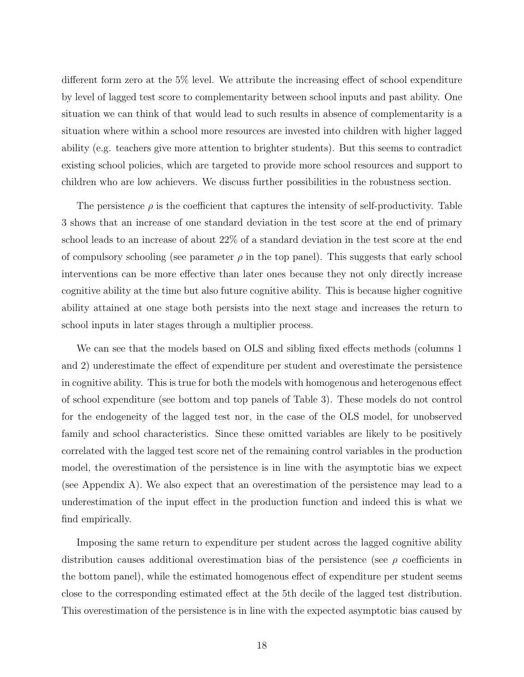different form zero at the 5% level. We attribute the increasing effect of school expenditure by level of lagged test score to complementarity between school inputs and past ability. One situation we can think of that would lead to such results in absence of complementarity is a situation where within a school more resources are invested into children with higher lagged ability (e.g. teachers give more attention to brighter students). But this seems to contradict existing school policies, which are targeted to provide more school resources and support to children who are low achievers. We discuss further possibilities in the robustness section.

The persistence  $\rho$  is the coefficient that captures the intensity of self-productivity. Table 3 shows that an increase of one standard deviation in the test score at the end of primary school leads to an increase of about 22% of a standard deviation in the test score at the end of compulsory schooling (see parameter  $\rho$  in the top panel). This suggests that early school interventions can be more effective than later ones because they not only directly increase cognitive ability at the time but also future cognitive ability. This is because higher cognitive ability attained at one stage both persists into the next stage and increases the return to school inputs in later stages through a multiplier process.

We can see that the models based on OLS and sibling fixed effects methods (columns 1 and 2) underestimate the effect of expenditure per student and overestimate the persistence in cognitive ability. This is true for both the models with homogenous and heterogenous effect of school expenditure (see bottom and top panels of Table 3). These models do not control for the endogeneity of the lagged test nor, in the case of the OLS model, for unobserved family and school characteristics. Since these omitted variables are likely to be positively correlated with the lagged test score net of the remaining control variables in the production model, the overestimation of the persistence is in line with the asymptotic bias we expect (see Appendix A). We also expect that an overestimation of the persistence may lead to a underestimation of the input effect in the production function and indeed this is what we find empirically.

Imposing the same return to expenditure per student across the lagged cognitive ability distribution causes additional overestimation bias of the persistence (see  $\rho$  coefficients in the bottom panel), while the estimated homogenous effect of expenditure per student seems close to the corresponding estimated effect at the 5th decile of the lagged test distribution. This overestimation of the persistence is in line with the expected asymptotic bias caused by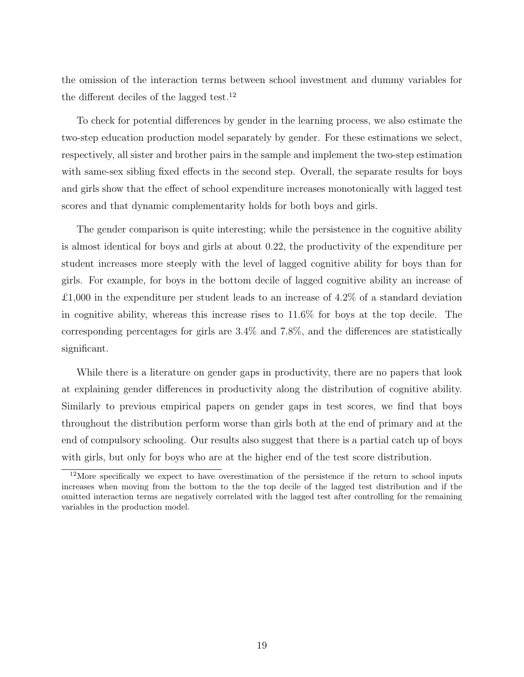the omission of the interaction terms between school investment and dummy variables for the different deciles of the lagged test.<sup>12</sup>

To check for potential differences by gender in the learning process, we also estimate the two-step education production model separately by gender. For these estimations we select, respectively, all sister and brother pairs in the sample and implement the two-step estimation with same-sex sibling fixed effects in the second step. Overall, the separate results for boys and girls show that the effect of school expenditure increases monotonically with lagged test scores and that dynamic complementarity holds for both boys and girls.

The gender comparison is quite interesting; while the persistence in the cognitive ability is almost identical for boys and girls at about 0.22, the productivity of the expenditure per student increases more steeply with the level of lagged cognitive ability for boys than for girls. For example, for boys in the bottom decile of lagged cognitive ability an increase of £1,000 in the expenditure per student leads to an increase of  $4.2\%$  of a standard deviation in cognitive ability, whereas this increase rises to 11.6% for boys at the top decile. The corresponding percentages for girls are 3.4% and 7.8%, and the differences are statistically significant.

While there is a literature on gender gaps in productivity, there are no papers that look at explaining gender differences in productivity along the distribution of cognitive ability. Similarly to previous empirical papers on gender gaps in test scores, we find that boys throughout the distribution perform worse than girls both at the end of primary and at the end of compulsory schooling. Our results also suggest that there is a partial catch up of boys with girls, but only for boys who are at the higher end of the test score distribution.

 $12$ More specifically we expect to have overestimation of the persistence if the return to school inputs increases when moving from the bottom to the the top decile of the lagged test distribution and if the omitted interaction terms are negatively correlated with the lagged test after controlling for the remaining variables in the production model.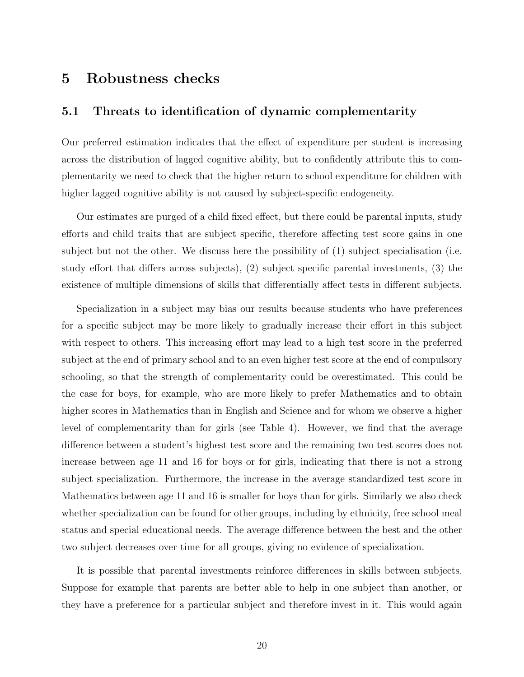## 5 Robustness checks

#### 5.1 Threats to identification of dynamic complementarity

Our preferred estimation indicates that the effect of expenditure per student is increasing across the distribution of lagged cognitive ability, but to confidently attribute this to complementarity we need to check that the higher return to school expenditure for children with higher lagged cognitive ability is not caused by subject-specific endogeneity.

Our estimates are purged of a child fixed effect, but there could be parental inputs, study efforts and child traits that are subject specific, therefore affecting test score gains in one subject but not the other. We discuss here the possibility of (1) subject specialisation (i.e. study effort that differs across subjects), (2) subject specific parental investments, (3) the existence of multiple dimensions of skills that differentially affect tests in different subjects.

Specialization in a subject may bias our results because students who have preferences for a specific subject may be more likely to gradually increase their effort in this subject with respect to others. This increasing effort may lead to a high test score in the preferred subject at the end of primary school and to an even higher test score at the end of compulsory schooling, so that the strength of complementarity could be overestimated. This could be the case for boys, for example, who are more likely to prefer Mathematics and to obtain higher scores in Mathematics than in English and Science and for whom we observe a higher level of complementarity than for girls (see Table 4). However, we find that the average difference between a student's highest test score and the remaining two test scores does not increase between age 11 and 16 for boys or for girls, indicating that there is not a strong subject specialization. Furthermore, the increase in the average standardized test score in Mathematics between age 11 and 16 is smaller for boys than for girls. Similarly we also check whether specialization can be found for other groups, including by ethnicity, free school meal status and special educational needs. The average difference between the best and the other two subject decreases over time for all groups, giving no evidence of specialization.

It is possible that parental investments reinforce differences in skills between subjects. Suppose for example that parents are better able to help in one subject than another, or they have a preference for a particular subject and therefore invest in it. This would again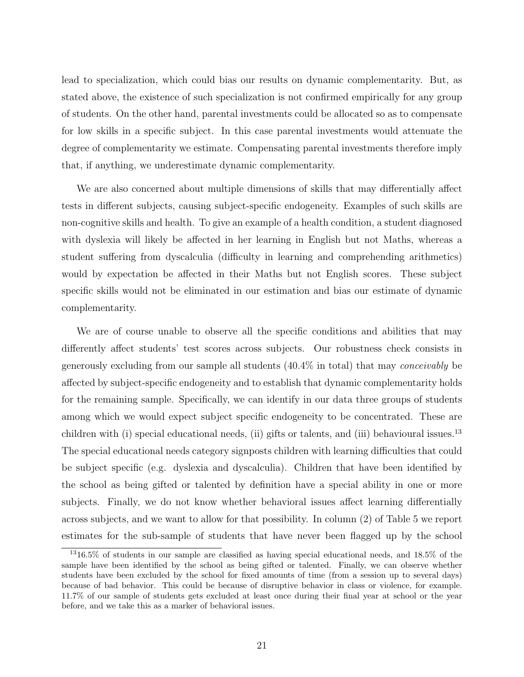lead to specialization, which could bias our results on dynamic complementarity. But, as stated above, the existence of such specialization is not confirmed empirically for any group of students. On the other hand, parental investments could be allocated so as to compensate for low skills in a specific subject. In this case parental investments would attenuate the degree of complementarity we estimate. Compensating parental investments therefore imply that, if anything, we underestimate dynamic complementarity.

We are also concerned about multiple dimensions of skills that may differentially affect tests in different subjects, causing subject-specific endogeneity. Examples of such skills are non-cognitive skills and health. To give an example of a health condition, a student diagnosed with dyslexia will likely be affected in her learning in English but not Maths, whereas a student suffering from dyscalculia (difficulty in learning and comprehending arithmetics) would by expectation be affected in their Maths but not English scores. These subject specific skills would not be eliminated in our estimation and bias our estimate of dynamic complementarity.

We are of course unable to observe all the specific conditions and abilities that may differently affect students' test scores across subjects. Our robustness check consists in generously excluding from our sample all students (40.4% in total) that may conceivably be affected by subject-specific endogeneity and to establish that dynamic complementarity holds for the remaining sample. Specifically, we can identify in our data three groups of students among which we would expect subject specific endogeneity to be concentrated. These are children with (i) special educational needs, (ii) gifts or talents, and (iii) behavioural issues.<sup>13</sup> The special educational needs category signposts children with learning difficulties that could be subject specific (e.g. dyslexia and dyscalculia). Children that have been identified by the school as being gifted or talented by definition have a special ability in one or more subjects. Finally, we do not know whether behavioral issues affect learning differentially across subjects, and we want to allow for that possibility. In column (2) of Table 5 we report estimates for the sub-sample of students that have never been flagged up by the school

 $1316.5\%$  of students in our sample are classified as having special educational needs, and 18.5% of the sample have been identified by the school as being gifted or talented. Finally, we can observe whether students have been excluded by the school for fixed amounts of time (from a session up to several days) because of bad behavior. This could be because of disruptive behavior in class or violence, for example. 11.7% of our sample of students gets excluded at least once during their final year at school or the year before, and we take this as a marker of behavioral issues.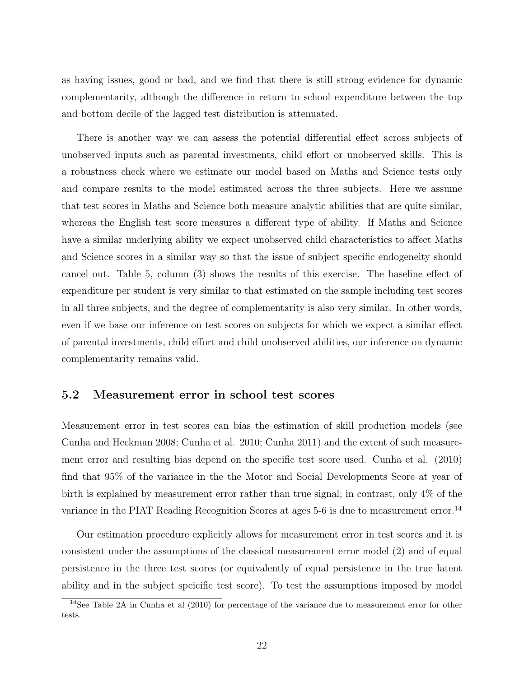as having issues, good or bad, and we find that there is still strong evidence for dynamic complementarity, although the difference in return to school expenditure between the top and bottom decile of the lagged test distribution is attenuated.

There is another way we can assess the potential differential effect across subjects of unobserved inputs such as parental investments, child effort or unobserved skills. This is a robustness check where we estimate our model based on Maths and Science tests only and compare results to the model estimated across the three subjects. Here we assume that test scores in Maths and Science both measure analytic abilities that are quite similar, whereas the English test score measures a different type of ability. If Maths and Science have a similar underlying ability we expect unobserved child characteristics to affect Maths and Science scores in a similar way so that the issue of subject specific endogeneity should cancel out. Table 5, column (3) shows the results of this exercise. The baseline effect of expenditure per student is very similar to that estimated on the sample including test scores in all three subjects, and the degree of complementarity is also very similar. In other words, even if we base our inference on test scores on subjects for which we expect a similar effect of parental investments, child effort and child unobserved abilities, our inference on dynamic complementarity remains valid.

#### 5.2 Measurement error in school test scores

Measurement error in test scores can bias the estimation of skill production models (see Cunha and Heckman 2008; Cunha et al. 2010; Cunha 2011) and the extent of such measurement error and resulting bias depend on the specific test score used. Cunha et al. (2010) find that 95% of the variance in the the Motor and Social Developments Score at year of birth is explained by measurement error rather than true signal; in contrast, only 4% of the variance in the PIAT Reading Recognition Scores at ages 5-6 is due to measurement error.<sup>14</sup>

Our estimation procedure explicitly allows for measurement error in test scores and it is consistent under the assumptions of the classical measurement error model (2) and of equal persistence in the three test scores (or equivalently of equal persistence in the true latent ability and in the subject speicific test score). To test the assumptions imposed by model

<sup>&</sup>lt;sup>14</sup>See Table 2A in Cunha et al (2010) for percentage of the variance due to measurement error for other tests.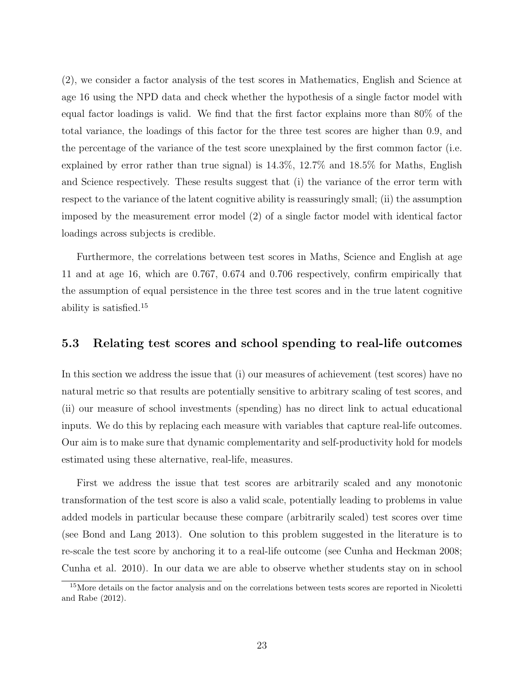(2), we consider a factor analysis of the test scores in Mathematics, English and Science at age 16 using the NPD data and check whether the hypothesis of a single factor model with equal factor loadings is valid. We find that the first factor explains more than 80% of the total variance, the loadings of this factor for the three test scores are higher than 0.9, and the percentage of the variance of the test score unexplained by the first common factor (i.e. explained by error rather than true signal) is 14.3%, 12.7% and 18.5% for Maths, English and Science respectively. These results suggest that (i) the variance of the error term with respect to the variance of the latent cognitive ability is reassuringly small; (ii) the assumption imposed by the measurement error model (2) of a single factor model with identical factor loadings across subjects is credible.

Furthermore, the correlations between test scores in Maths, Science and English at age 11 and at age 16, which are 0.767, 0.674 and 0.706 respectively, confirm empirically that the assumption of equal persistence in the three test scores and in the true latent cognitive ability is satisfied.<sup>15</sup>

#### 5.3 Relating test scores and school spending to real-life outcomes

In this section we address the issue that (i) our measures of achievement (test scores) have no natural metric so that results are potentially sensitive to arbitrary scaling of test scores, and (ii) our measure of school investments (spending) has no direct link to actual educational inputs. We do this by replacing each measure with variables that capture real-life outcomes. Our aim is to make sure that dynamic complementarity and self-productivity hold for models estimated using these alternative, real-life, measures.

First we address the issue that test scores are arbitrarily scaled and any monotonic transformation of the test score is also a valid scale, potentially leading to problems in value added models in particular because these compare (arbitrarily scaled) test scores over time (see Bond and Lang 2013). One solution to this problem suggested in the literature is to re-scale the test score by anchoring it to a real-life outcome (see Cunha and Heckman 2008; Cunha et al. 2010). In our data we are able to observe whether students stay on in school

<sup>&</sup>lt;sup>15</sup>More details on the factor analysis and on the correlations between tests scores are reported in Nicoletti and Rabe (2012).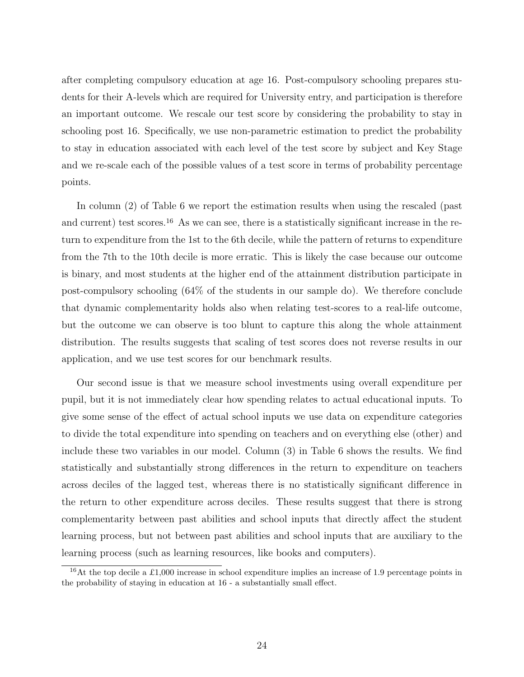after completing compulsory education at age 16. Post-compulsory schooling prepares students for their A-levels which are required for University entry, and participation is therefore an important outcome. We rescale our test score by considering the probability to stay in schooling post 16. Specifically, we use non-parametric estimation to predict the probability to stay in education associated with each level of the test score by subject and Key Stage and we re-scale each of the possible values of a test score in terms of probability percentage points.

In column (2) of Table 6 we report the estimation results when using the rescaled (past and current) test scores.<sup>16</sup> As we can see, there is a statistically significant increase in the return to expenditure from the 1st to the 6th decile, while the pattern of returns to expenditure from the 7th to the 10th decile is more erratic. This is likely the case because our outcome is binary, and most students at the higher end of the attainment distribution participate in post-compulsory schooling (64% of the students in our sample do). We therefore conclude that dynamic complementarity holds also when relating test-scores to a real-life outcome, but the outcome we can observe is too blunt to capture this along the whole attainment distribution. The results suggests that scaling of test scores does not reverse results in our application, and we use test scores for our benchmark results.

Our second issue is that we measure school investments using overall expenditure per pupil, but it is not immediately clear how spending relates to actual educational inputs. To give some sense of the effect of actual school inputs we use data on expenditure categories to divide the total expenditure into spending on teachers and on everything else (other) and include these two variables in our model. Column (3) in Table 6 shows the results. We find statistically and substantially strong differences in the return to expenditure on teachers across deciles of the lagged test, whereas there is no statistically significant difference in the return to other expenditure across deciles. These results suggest that there is strong complementarity between past abilities and school inputs that directly affect the student learning process, but not between past abilities and school inputs that are auxiliary to the learning process (such as learning resources, like books and computers).

<sup>&</sup>lt;sup>16</sup>At the top decile a £1,000 increase in school expenditure implies an increase of 1.9 percentage points in the probability of staying in education at 16 - a substantially small effect.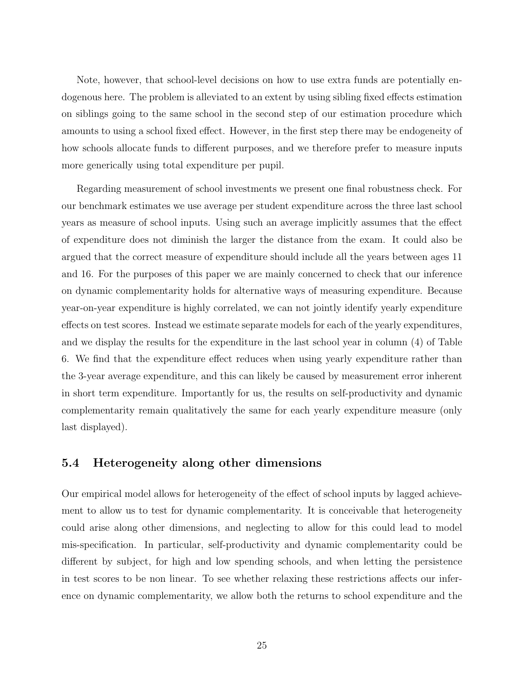Note, however, that school-level decisions on how to use extra funds are potentially endogenous here. The problem is alleviated to an extent by using sibling fixed effects estimation on siblings going to the same school in the second step of our estimation procedure which amounts to using a school fixed effect. However, in the first step there may be endogeneity of how schools allocate funds to different purposes, and we therefore prefer to measure inputs more generically using total expenditure per pupil.

Regarding measurement of school investments we present one final robustness check. For our benchmark estimates we use average per student expenditure across the three last school years as measure of school inputs. Using such an average implicitly assumes that the effect of expenditure does not diminish the larger the distance from the exam. It could also be argued that the correct measure of expenditure should include all the years between ages 11 and 16. For the purposes of this paper we are mainly concerned to check that our inference on dynamic complementarity holds for alternative ways of measuring expenditure. Because year-on-year expenditure is highly correlated, we can not jointly identify yearly expenditure effects on test scores. Instead we estimate separate models for each of the yearly expenditures, and we display the results for the expenditure in the last school year in column (4) of Table 6. We find that the expenditure effect reduces when using yearly expenditure rather than the 3-year average expenditure, and this can likely be caused by measurement error inherent in short term expenditure. Importantly for us, the results on self-productivity and dynamic complementarity remain qualitatively the same for each yearly expenditure measure (only last displayed).

#### 5.4 Heterogeneity along other dimensions

Our empirical model allows for heterogeneity of the effect of school inputs by lagged achievement to allow us to test for dynamic complementarity. It is conceivable that heterogeneity could arise along other dimensions, and neglecting to allow for this could lead to model mis-specification. In particular, self-productivity and dynamic complementarity could be different by subject, for high and low spending schools, and when letting the persistence in test scores to be non linear. To see whether relaxing these restrictions affects our inference on dynamic complementarity, we allow both the returns to school expenditure and the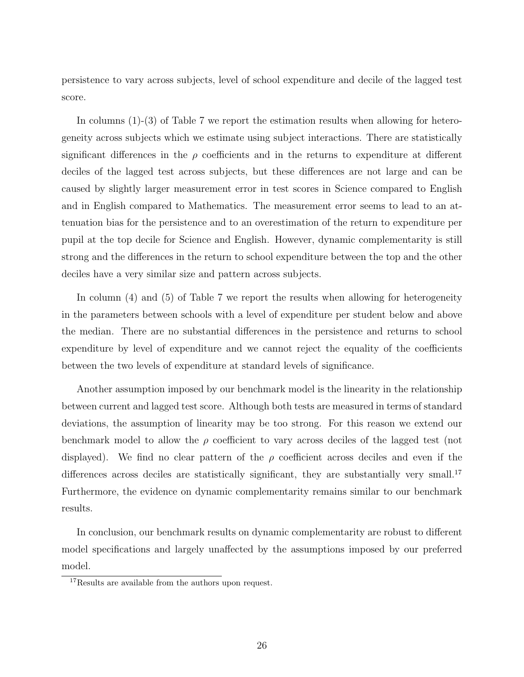persistence to vary across subjects, level of school expenditure and decile of the lagged test score.

In columns (1)-(3) of Table 7 we report the estimation results when allowing for heterogeneity across subjects which we estimate using subject interactions. There are statistically significant differences in the  $\rho$  coefficients and in the returns to expenditure at different deciles of the lagged test across subjects, but these differences are not large and can be caused by slightly larger measurement error in test scores in Science compared to English and in English compared to Mathematics. The measurement error seems to lead to an attenuation bias for the persistence and to an overestimation of the return to expenditure per pupil at the top decile for Science and English. However, dynamic complementarity is still strong and the differences in the return to school expenditure between the top and the other deciles have a very similar size and pattern across subjects.

In column (4) and (5) of Table 7 we report the results when allowing for heterogeneity in the parameters between schools with a level of expenditure per student below and above the median. There are no substantial differences in the persistence and returns to school expenditure by level of expenditure and we cannot reject the equality of the coefficients between the two levels of expenditure at standard levels of significance.

Another assumption imposed by our benchmark model is the linearity in the relationship between current and lagged test score. Although both tests are measured in terms of standard deviations, the assumption of linearity may be too strong. For this reason we extend our benchmark model to allow the  $\rho$  coefficient to vary across deciles of the lagged test (not displayed). We find no clear pattern of the  $\rho$  coefficient across deciles and even if the differences across deciles are statistically significant, they are substantially very small.<sup>17</sup> Furthermore, the evidence on dynamic complementarity remains similar to our benchmark results.

In conclusion, our benchmark results on dynamic complementarity are robust to different model specifications and largely unaffected by the assumptions imposed by our preferred model.

<sup>&</sup>lt;sup>17</sup>Results are available from the authors upon request.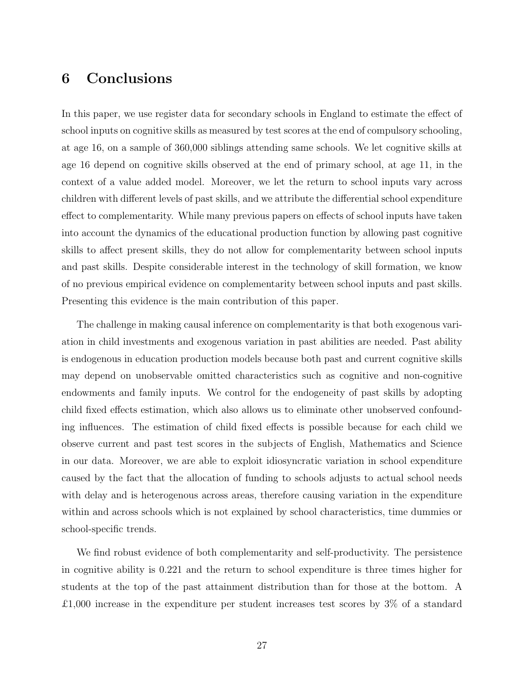## 6 Conclusions

In this paper, we use register data for secondary schools in England to estimate the effect of school inputs on cognitive skills as measured by test scores at the end of compulsory schooling, at age 16, on a sample of 360,000 siblings attending same schools. We let cognitive skills at age 16 depend on cognitive skills observed at the end of primary school, at age 11, in the context of a value added model. Moreover, we let the return to school inputs vary across children with different levels of past skills, and we attribute the differential school expenditure effect to complementarity. While many previous papers on effects of school inputs have taken into account the dynamics of the educational production function by allowing past cognitive skills to affect present skills, they do not allow for complementarity between school inputs and past skills. Despite considerable interest in the technology of skill formation, we know of no previous empirical evidence on complementarity between school inputs and past skills. Presenting this evidence is the main contribution of this paper.

The challenge in making causal inference on complementarity is that both exogenous variation in child investments and exogenous variation in past abilities are needed. Past ability is endogenous in education production models because both past and current cognitive skills may depend on unobservable omitted characteristics such as cognitive and non-cognitive endowments and family inputs. We control for the endogeneity of past skills by adopting child fixed effects estimation, which also allows us to eliminate other unobserved confounding influences. The estimation of child fixed effects is possible because for each child we observe current and past test scores in the subjects of English, Mathematics and Science in our data. Moreover, we are able to exploit idiosyncratic variation in school expenditure caused by the fact that the allocation of funding to schools adjusts to actual school needs with delay and is heterogenous across areas, therefore causing variation in the expenditure within and across schools which is not explained by school characteristics, time dummies or school-specific trends.

We find robust evidence of both complementarity and self-productivity. The persistence in cognitive ability is 0.221 and the return to school expenditure is three times higher for students at the top of the past attainment distribution than for those at the bottom. A £1,000 increase in the expenditure per student increases test scores by 3% of a standard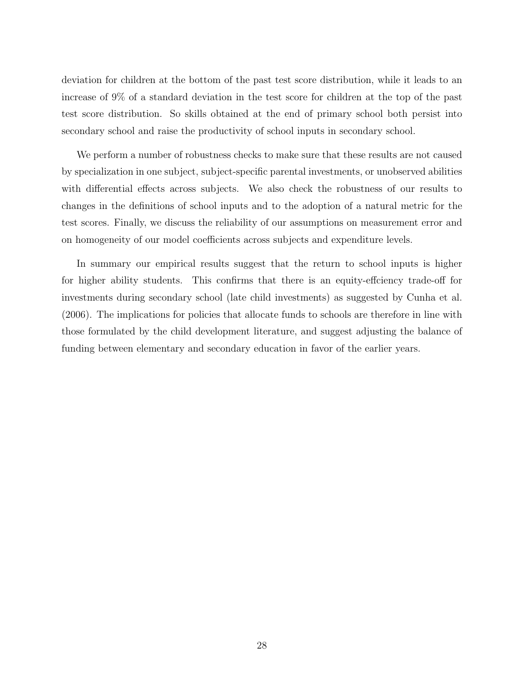deviation for children at the bottom of the past test score distribution, while it leads to an increase of 9% of a standard deviation in the test score for children at the top of the past test score distribution. So skills obtained at the end of primary school both persist into secondary school and raise the productivity of school inputs in secondary school.

We perform a number of robustness checks to make sure that these results are not caused by specialization in one subject, subject-specific parental investments, or unobserved abilities with differential effects across subjects. We also check the robustness of our results to changes in the definitions of school inputs and to the adoption of a natural metric for the test scores. Finally, we discuss the reliability of our assumptions on measurement error and on homogeneity of our model coefficients across subjects and expenditure levels.

In summary our empirical results suggest that the return to school inputs is higher for higher ability students. This confirms that there is an equity-effciency trade-off for investments during secondary school (late child investments) as suggested by Cunha et al. (2006). The implications for policies that allocate funds to schools are therefore in line with those formulated by the child development literature, and suggest adjusting the balance of funding between elementary and secondary education in favor of the earlier years.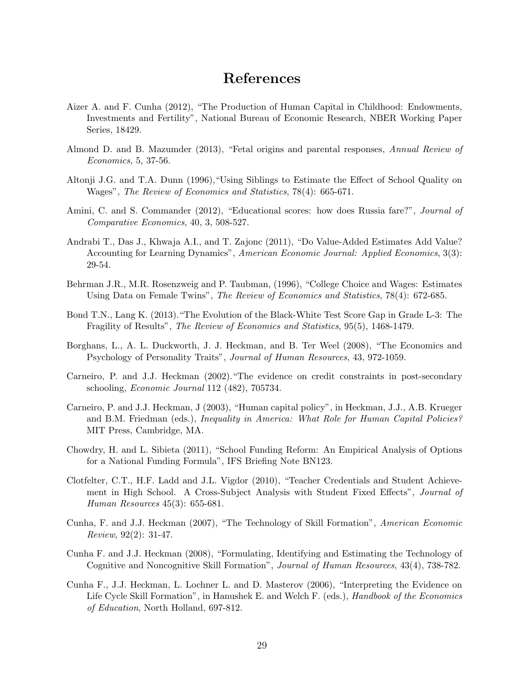## References

- Aizer A. and F. Cunha (2012), "The Production of Human Capital in Childhood: Endowments, Investments and Fertility", National Bureau of Economic Research, NBER Working Paper Series, 18429.
- Almond D. and B. Mazumder (2013), "Fetal origins and parental responses, Annual Review of Economics, 5, 37-56.
- Altonji J.G. and T.A. Dunn (1996),"Using Siblings to Estimate the Effect of School Quality on Wages", The Review of Economics and Statistics, 78(4): 665-671.
- Amini, C. and S. Commander (2012), "Educational scores: how does Russia fare?", *Journal of* Comparative Economics, 40, 3, 508-527.
- Andrabi T., Das J., Khwaja A.I., and T. Zajonc (2011), "Do Value-Added Estimates Add Value? Accounting for Learning Dynamics", American Economic Journal: Applied Economics, 3(3): 29-54.
- Behrman J.R., M.R. Rosenzweig and P. Taubman, (1996), "College Choice and Wages: Estimates Using Data on Female Twins", The Review of Economics and Statistics, 78(4): 672-685.
- Bond T.N., Lang K. (2013)."The Evolution of the Black-White Test Score Gap in Grade L-3: The Fragility of Results", The Review of Economics and Statistics, 95(5), 1468-1479.
- Borghans, L., A. L. Duckworth, J. J. Heckman, and B. Ter Weel (2008), "The Economics and Psychology of Personality Traits", Journal of Human Resources, 43, 972-1059.
- Carneiro, P. and J.J. Heckman (2002)."The evidence on credit constraints in post-secondary schooling, Economic Journal 112 (482), 705734.
- Carneiro, P. and J.J. Heckman, J (2003), "Human capital policy", in Heckman, J.J., A.B. Krueger and B.M. Friedman (eds.), *Inequality in America: What Role for Human Capital Policies?* MIT Press, Cambridge, MA.
- Chowdry, H. and L. Sibieta (2011), "School Funding Reform: An Empirical Analysis of Options for a National Funding Formula", IFS Briefing Note BN123.
- Clotfelter, C.T., H.F. Ladd and J.L. Vigdor (2010), "Teacher Credentials and Student Achievement in High School. A Cross-Subject Analysis with Student Fixed Effects", Journal of Human Resources 45(3): 655-681.
- Cunha, F. and J.J. Heckman (2007), "The Technology of Skill Formation", American Economic Review, 92(2): 31-47.
- Cunha F. and J.J. Heckman (2008), "Formulating, Identifying and Estimating the Technology of Cognitive and Noncognitive Skill Formation", Journal of Human Resources, 43(4), 738-782.
- Cunha F., J.J. Heckman, L. Lochner L. and D. Masterov (2006), "Interpreting the Evidence on Life Cycle Skill Formation", in Hanushek E. and Welch F. (eds.), *Handbook of the Economics* of Education, North Holland, 697-812.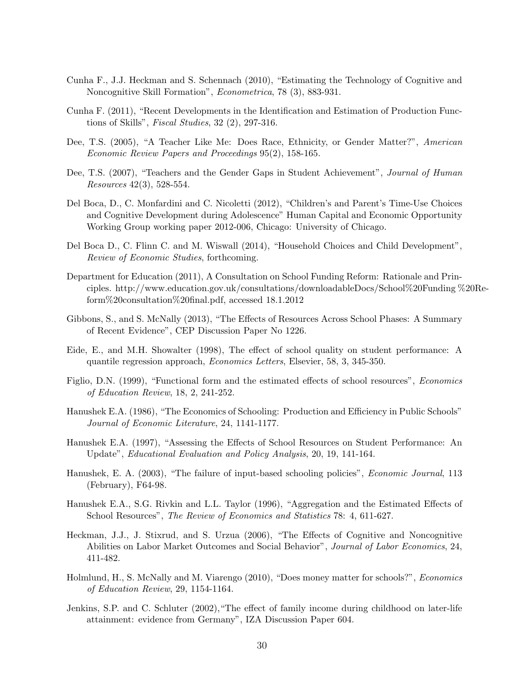- Cunha F., J.J. Heckman and S. Schennach (2010), "Estimating the Technology of Cognitive and Noncognitive Skill Formation", Econometrica, 78 (3), 883-931.
- Cunha F. (2011), "Recent Developments in the Identification and Estimation of Production Functions of Skills", Fiscal Studies, 32 (2), 297-316.
- Dee, T.S. (2005), "A Teacher Like Me: Does Race, Ethnicity, or Gender Matter?", American Economic Review Papers and Proceedings 95(2), 158-165.
- Dee, T.S. (2007), "Teachers and the Gender Gaps in Student Achievement", *Journal of Human* Resources 42(3), 528-554.
- Del Boca, D., C. Monfardini and C. Nicoletti (2012), "Children's and Parent's Time-Use Choices and Cognitive Development during Adolescence" Human Capital and Economic Opportunity Working Group working paper 2012-006, Chicago: University of Chicago.
- Del Boca D., C. Flinn C. and M. Wiswall (2014), "Household Choices and Child Development", Review of Economic Studies, forthcoming.
- Department for Education (2011), A Consultation on School Funding Reform: Rationale and Principles. http://www.education.gov.uk/consultations/downloadableDocs/School%20Funding %20Reform%20consultation%20final.pdf, accessed 18.1.2012
- Gibbons, S., and S. McNally (2013), "The Effects of Resources Across School Phases: A Summary of Recent Evidence", CEP Discussion Paper No 1226.
- Eide, E., and M.H. Showalter (1998), The effect of school quality on student performance: A quantile regression approach, Economics Letters, Elsevier, 58, 3, 345-350.
- Figlio, D.N. (1999), "Functional form and the estimated effects of school resources", Economics of Education Review, 18, 2, 241-252.
- Hanushek E.A. (1986), "The Economics of Schooling: Production and Efficiency in Public Schools" Journal of Economic Literature, 24, 1141-1177.
- Hanushek E.A. (1997), "Assessing the Effects of School Resources on Student Performance: An Update", Educational Evaluation and Policy Analysis, 20, 19, 141-164.
- Hanushek, E. A. (2003), "The failure of input-based schooling policies", *Economic Journal*, 113 (February), F64-98.
- Hanushek E.A., S.G. Rivkin and L.L. Taylor (1996), "Aggregation and the Estimated Effects of School Resources", The Review of Economics and Statistics 78: 4, 611-627.
- Heckman, J.J., J. Stixrud, and S. Urzua (2006), "The Effects of Cognitive and Noncognitive Abilities on Labor Market Outcomes and Social Behavior", Journal of Labor Economics, 24, 411-482.
- Holmlund, H., S. McNally and M. Viarengo (2010), "Does money matter for schools?", Economics of Education Review, 29, 1154-1164.
- Jenkins, S.P. and C. Schluter (2002),"The effect of family income during childhood on later-life attainment: evidence from Germany", IZA Discussion Paper 604.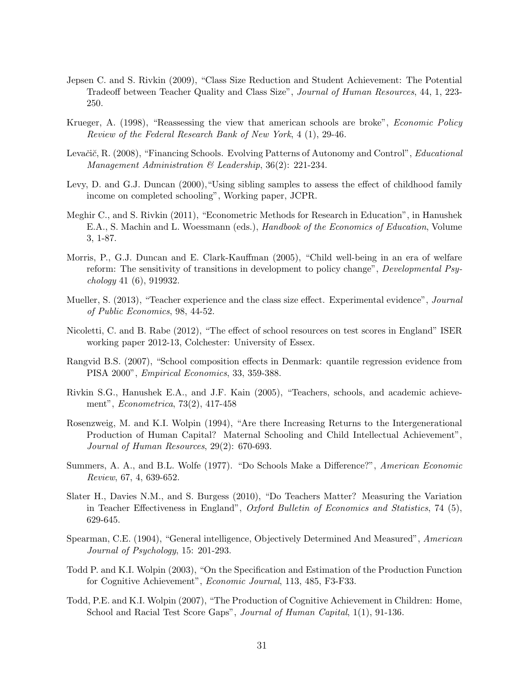- Jepsen C. and S. Rivkin (2009), "Class Size Reduction and Student Achievement: The Potential Tradeoff between Teacher Quality and Class Size", Journal of Human Resources, 44, 1, 223- 250.
- Krueger, A. (1998), "Reassessing the view that american schools are broke", *Economic Policy* Review of the Federal Research Bank of New York, 4 (1), 29-46.
- Levačič, R. (2008), "Financing Schools. Evolving Patterns of Autonomy and Control", *Educational* Management Administration & Leadership, 36(2): 221-234.
- Levy, D. and G.J. Duncan (2000),"Using sibling samples to assess the effect of childhood family income on completed schooling", Working paper, JCPR.
- Meghir C., and S. Rivkin (2011), "Econometric Methods for Research in Education", in Hanushek E.A., S. Machin and L. Woessmann (eds.), Handbook of the Economics of Education, Volume 3, 1-87.
- Morris, P., G.J. Duncan and E. Clark-Kauffman (2005), "Child well-being in an era of welfare reform: The sensitivity of transitions in development to policy change", Developmental Psychology 41 (6), 919932.
- Mueller, S. (2013), "Teacher experience and the class size effect. Experimental evidence", *Journal* of Public Economics, 98, 44-52.
- Nicoletti, C. and B. Rabe (2012), "The effect of school resources on test scores in England" ISER working paper 2012-13, Colchester: University of Essex.
- Rangvid B.S. (2007), "School composition effects in Denmark: quantile regression evidence from PISA 2000", Empirical Economics, 33, 359-388.
- Rivkin S.G., Hanushek E.A., and J.F. Kain (2005), "Teachers, schools, and academic achievement", Econometrica, 73(2), 417-458
- Rosenzweig, M. and K.I. Wolpin (1994), "Are there Increasing Returns to the Intergenerational Production of Human Capital? Maternal Schooling and Child Intellectual Achievement", Journal of Human Resources, 29(2): 670-693.
- Summers, A. A., and B.L. Wolfe (1977). "Do Schools Make a Difference?", American Economic Review, 67, 4, 639-652.
- Slater H., Davies N.M., and S. Burgess (2010), "Do Teachers Matter? Measuring the Variation in Teacher Effectiveness in England", Oxford Bulletin of Economics and Statistics, 74 (5), 629-645.
- Spearman, C.E. (1904), "General intelligence, Objectively Determined And Measured", American Journal of Psychology, 15: 201-293.
- Todd P. and K.I. Wolpin (2003), "On the Specification and Estimation of the Production Function for Cognitive Achievement", Economic Journal, 113, 485, F3-F33.
- Todd, P.E. and K.I. Wolpin (2007), "The Production of Cognitive Achievement in Children: Home, School and Racial Test Score Gaps", *Journal of Human Capital*, 1(1), 91-136.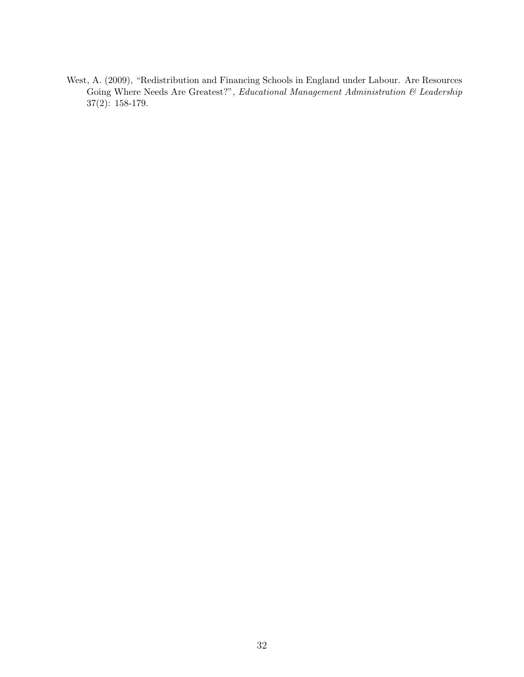West, A. (2009), "Redistribution and Financing Schools in England under Labour. Are Resources Going Where Needs Are Greatest?", Educational Management Administration & Leadership 37(2): 158-179.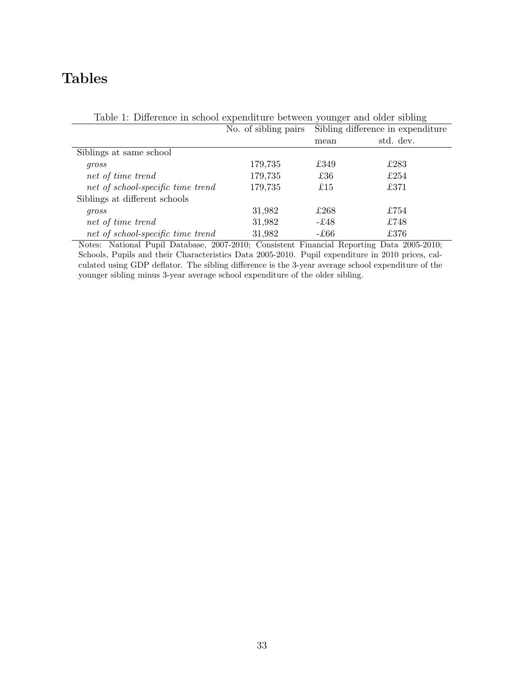## Tables

| Table 1. Difference in school expenditure between younger and order shoung |                      |                                   |           |  |
|----------------------------------------------------------------------------|----------------------|-----------------------------------|-----------|--|
|                                                                            | No. of sibling pairs | Sibling difference in expenditure |           |  |
|                                                                            |                      | mean                              | std. dev. |  |
| Siblings at same school                                                    |                      |                                   |           |  |
| gross                                                                      | 179,735              | £349                              | £283      |  |
| net of time trend                                                          | 179,735              | £36                               | £254      |  |
| net of school-specific time trend                                          | 179,735              | £15                               | £371      |  |
| Siblings at different schools                                              |                      |                                   |           |  |
| gross                                                                      | 31,982               | £268                              | £754      |  |
| net of time trend                                                          | 31,982               | -£48                              | £748      |  |
| net of school-specific time trend                                          | 31,982               | -£66                              | £376      |  |

Table 1: Difference in school expenditure between younger and older sibling

Notes: National Pupil Database, 2007-2010; Consistent Financial Reporting Data 2005-2010; Schools, Pupils and their Characteristics Data 2005-2010. Pupil expenditure in 2010 prices, calculated using GDP deflator. The sibling difference is the 3-year average school expenditure of the younger sibling minus 3-year average school expenditure of the older sibling.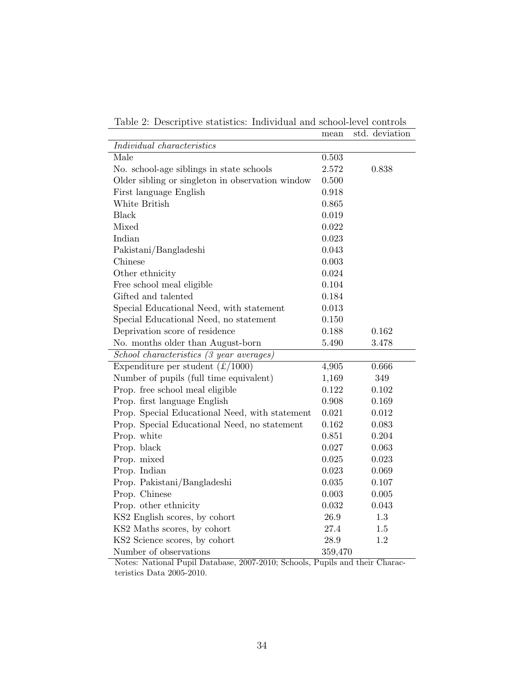|                                                  | mean           | std. deviation |
|--------------------------------------------------|----------------|----------------|
| Individual characteristics                       |                |                |
| Male                                             | 0.503          |                |
| No. school-age siblings in state schools         | 2.572          | 0.838          |
| Older sibling or singleton in observation window |                |                |
| First language English                           | 0.918          |                |
| White British                                    | 0.865          |                |
| <b>Black</b>                                     | 0.019          |                |
| Mixed                                            | 0.022          |                |
| Indian                                           | 0.023          |                |
| Pakistani/Bangladeshi                            | 0.043          |                |
| Chinese                                          | 0.003          |                |
| Other ethnicity                                  | 0.024          |                |
| Free school meal eligible                        | 0.104          |                |
| Gifted and talented                              | 0.184          |                |
| Special Educational Need, with statement         | 0.013          |                |
| Special Educational Need, no statement           | 0.150          |                |
| Deprivation score of residence                   | 0.188          | 0.162          |
| No. months older than August-born                | 5.490          | 3.478          |
| School characteristics (3 year averages)         |                |                |
| Expenditure per student $(\pounds/1000)$         | 4,905          | 0.666          |
| Number of pupils (full time equivalent)          | 1,169          | 349            |
| Prop. free school meal eligible                  | 0.122          | 0.102          |
| Prop. first language English                     |                | 0.169          |
| Prop. Special Educational Need, with statement   | 0.021          | 0.012          |
| Prop. Special Educational Need, no statement     | 0.162          | 0.083          |
| Prop. white                                      | 0.851          | 0.204          |
| Prop. black                                      | 0.027          | 0.063          |
| Prop. mixed                                      | 0.025          | 0.023          |
| Prop. Indian                                     | 0.023          | 0.069          |
| Prop. Pakistani/Bangladeshi                      |                | 0.107          |
| Prop. Chinese                                    |                | 0.005          |
| Prop. other ethnicity                            | 0.003<br>0.032 | 0.043          |
| KS2 English scores, by cohort                    | 26.9           | 1.3            |
| KS2 Maths scores, by cohort                      | 27.4           | 1.5            |
| KS2 Science scores, by cohort                    | 28.9           | 1.2            |
| Number of observations                           | 359,470        |                |

Table 2: Descriptive statistics: Individual and school-level controls

Notes: National Pupil Database, 2007-2010; Schools, Pupils and their Characteristics Data 2005-2010.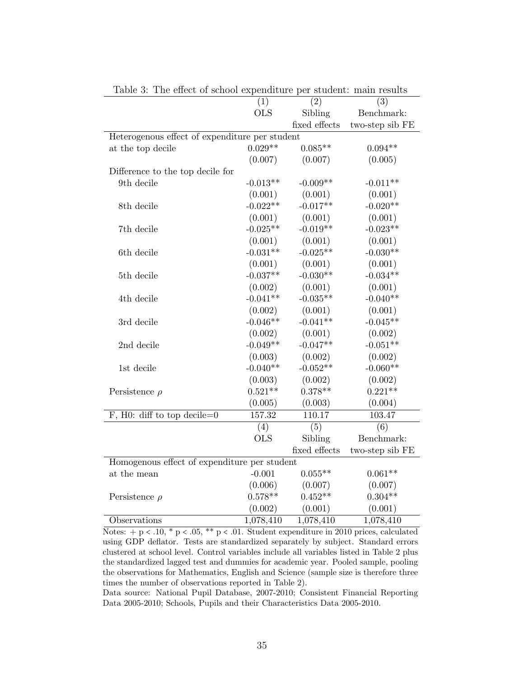| ranic<br>The chect of school expenditure per student. main results |            |               |                                               |
|--------------------------------------------------------------------|------------|---------------|-----------------------------------------------|
|                                                                    | (1)        | (2)           | (3)                                           |
|                                                                    | <b>OLS</b> | Sibling       | Benchmark:                                    |
|                                                                    |            | fixed effects | two-step sib FE                               |
| Heterogenous effect of expenditure per student                     |            |               |                                               |
| at the top decile                                                  | $0.029**$  | $0.085**$     | $0.094**$                                     |
|                                                                    | (0.007)    | (0.007)       | (0.005)                                       |
| Difference to the top decile for                                   |            |               |                                               |
| 9th decile                                                         | $-0.013**$ | $-0.009**$    | $-0.011**$                                    |
|                                                                    | (0.001)    | (0.001)       | (0.001)                                       |
| 8th decile                                                         | $-0.022**$ | $-0.017**$    | $-0.020**$                                    |
|                                                                    | (0.001)    | (0.001)       | (0.001)                                       |
| 7th decile                                                         | $-0.025**$ | $-0.019**$    | $-0.023**$                                    |
|                                                                    | (0.001)    | (0.001)       | (0.001)                                       |
| 6th decile                                                         | $-0.031**$ | $-0.025**$    | $-0.030**$                                    |
|                                                                    | (0.001)    | (0.001)       | (0.001)                                       |
| 5th decile                                                         | $-0.037**$ | $-0.030**$    | $-0.034**$                                    |
|                                                                    | (0.002)    | (0.001)       | (0.001)                                       |
| 4th decile                                                         | $-0.041**$ | $-0.035**$    | $-0.040**$                                    |
|                                                                    | (0.002)    | (0.001)       | (0.001)                                       |
| 3rd decile                                                         | $-0.046**$ | $-0.041**$    | $-0.045**$                                    |
|                                                                    | (0.002)    | (0.001)       | (0.002)                                       |
| 2nd decile                                                         | $-0.049**$ | $-0.047**$    | $-0.051**$                                    |
|                                                                    | (0.003)    | (0.002)       | (0.002)                                       |
| 1st decile                                                         | $-0.040**$ | $-0.052**$    | $-0.060**$                                    |
|                                                                    | (0.003)    | (0.002)       | (0.002)                                       |
| Persistence $\rho$                                                 | $0.521**$  | $0.378**$     | $0.221**$                                     |
|                                                                    | (0.005)    | (0.003)       | (0.004)                                       |
| F, H0: diff to top decile= $0$                                     | 157.32     | 110.17        | 103.47                                        |
|                                                                    | (4)        | (5)           | (6)                                           |
|                                                                    | <b>OLS</b> | Sibling       | Benchmark:                                    |
|                                                                    |            | fixed effects | two-step sib $\rm FE$                         |
| Homogenous effect of expenditure per student                       |            |               |                                               |
| at the mean                                                        | $-0.001$   | $0.055**$     | $0.061**$                                     |
|                                                                    | (0.006)    | (0.007)       | (0.007)                                       |
| Persistence $\rho$                                                 | $0.578**$  | $0.452**$     | $0.304**$                                     |
|                                                                    | (0.002)    | (0.001)       | (0.001)                                       |
| Observations                                                       | 1,078,410  | 1,078,410     | 1,078,410                                     |
| $*\sqrt{05}$<br>$** n > 01$<br>Notor $\pm n \times 10^{-7}$        |            |               | Student expenditure in 2010 prices calculated |

Table 3: The effect of school expenditure per student: main results

Notes:  $+p < .10$ ,  $p < .05$ ,  $p < .01$ . Student expenditure in 2010 prices, calculated using GDP deflator. Tests are standardized separately by subject. Standard errors clustered at school level. Control variables include all variables listed in Table 2 plus the standardized lagged test and dummies for academic year. Pooled sample, pooling the observations for Mathematics, English and Science (sample size is therefore three times the number of observations reported in Table 2).

Data source: National Pupil Database, 2007-2010; Consistent Financial Reporting Data 2005-2010; Schools, Pupils and their Characteristics Data 2005-2010.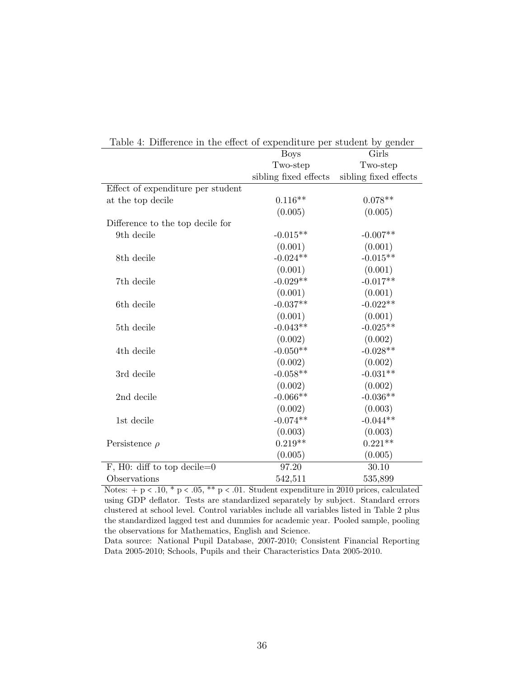| Difference in the choot of experiencine per stations by genuer |                       |                       |
|----------------------------------------------------------------|-----------------------|-----------------------|
|                                                                | <b>Boys</b>           | Girls                 |
|                                                                | Two-step              | Two-step              |
|                                                                | sibling fixed effects | sibling fixed effects |
| Effect of expenditure per student                              |                       |                       |
| at the top decile                                              | $0.116**$             | $0.078**$             |
|                                                                | (0.005)               | (0.005)               |
| Difference to the top decile for                               |                       |                       |
| 9th decile                                                     | $-0.015**$            | $-0.007**$            |
|                                                                | (0.001)               | (0.001)               |
| 8th decile                                                     | $-0.024**$            | $-0.015**$            |
|                                                                | (0.001)               | (0.001)               |
| 7th decile                                                     | $-0.029**$            | $-0.017**$            |
|                                                                | (0.001)               | (0.001)               |
| 6th decile                                                     | $-0.037**$            | $-0.022**$            |
|                                                                | (0.001)               | (0.001)               |
| 5th decile                                                     | $-0.043**$            | $-0.025**$            |
|                                                                | (0.002)               | (0.002)               |
| 4th decile                                                     | $-0.050**$            | $-0.028**$            |
|                                                                | (0.002)               | (0.002)               |
| 3rd decile                                                     | $-0.058**$            | $-0.031**$            |
|                                                                | (0.002)               | (0.002)               |
| 2nd decile                                                     | $-0.066**$            | $-0.036**$            |
|                                                                | (0.002)               | (0.003)               |
| 1st decile                                                     | $-0.074**$            | $-0.044**$            |
|                                                                | (0.003)               | (0.003)               |
| Persistence $\rho$                                             | $0.219**$             | $0.221**$             |
|                                                                | (0.005)               | (0.005)               |
| F, H0: diff to top decile= $0$                                 | 97.20                 | 30.10                 |
| Observations                                                   | 542,511               | 535,899               |

Table 4: Difference in the effect of expenditure per student by gender

Notes:  $+p < .10, *p < .05, **p < .01$ . Student expenditure in 2010 prices, calculated using GDP deflator. Tests are standardized separately by subject. Standard errors clustered at school level. Control variables include all variables listed in Table 2 plus the standardized lagged test and dummies for academic year. Pooled sample, pooling the observations for Mathematics, English and Science.

Data source: National Pupil Database, 2007-2010; Consistent Financial Reporting Data 2005-2010; Schools, Pupils and their Characteristics Data 2005-2010.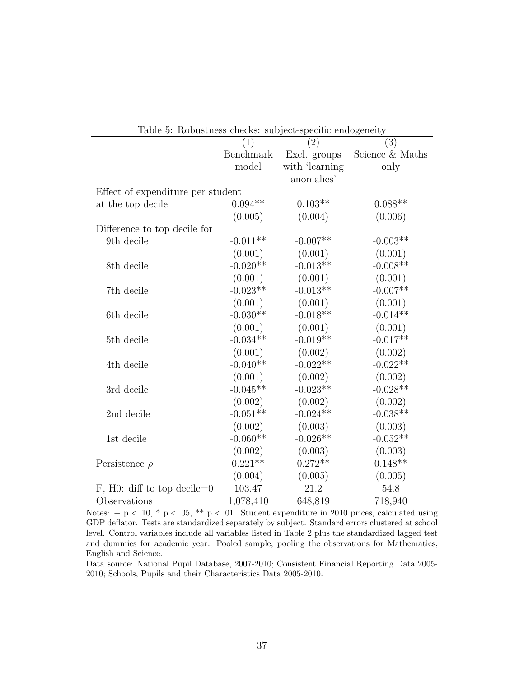| Lable 9. Tropustitess cliens. Subject-specific endogeneity |            |                   |                 |  |  |  |
|------------------------------------------------------------|------------|-------------------|-----------------|--|--|--|
|                                                            |            | (2)               | (3)             |  |  |  |
|                                                            | Benchmark  | Excl. groups      | Science & Maths |  |  |  |
|                                                            | model      | with 'learning    | only            |  |  |  |
|                                                            |            | anomalies'        |                 |  |  |  |
| Effect of expenditure per student                          |            |                   |                 |  |  |  |
| at the top decile                                          | $0.094**$  | $0.103**$         | $0.088**$       |  |  |  |
|                                                            | (0.005)    | (0.004)           | (0.006)         |  |  |  |
| Difference to top decile for                               |            |                   |                 |  |  |  |
| 9th decile                                                 | $-0.011**$ | $-0.007**$        | $-0.003**$      |  |  |  |
|                                                            | (0.001)    | (0.001)           | (0.001)         |  |  |  |
| 8th decile                                                 | $-0.020**$ | $-0.013**$        | $-0.008**$      |  |  |  |
|                                                            | (0.001)    | (0.001)           | (0.001)         |  |  |  |
| 7th decile                                                 | $-0.023**$ | $-0.013**$        | $-0.007**$      |  |  |  |
|                                                            | (0.001)    | (0.001)           | (0.001)         |  |  |  |
| 6th decile                                                 | $-0.030**$ | $-0.018**$        | $-0.014**$      |  |  |  |
|                                                            | (0.001)    | (0.001)           | (0.001)         |  |  |  |
| 5th decile                                                 | $-0.034**$ | $-0.019**$        | $-0.017**$      |  |  |  |
|                                                            | (0.001)    | (0.002)           | (0.002)         |  |  |  |
| 4th decile                                                 | $-0.040**$ | $-0.022**$        | $-0.022**$      |  |  |  |
|                                                            | (0.001)    | (0.002)           | (0.002)         |  |  |  |
| 3rd decile                                                 | $-0.045**$ | $-0.023**$        | $-0.028**$      |  |  |  |
|                                                            | (0.002)    | (0.002)           | (0.002)         |  |  |  |
| 2nd decile                                                 | $-0.051**$ | $-0.024**$        | $-0.038**$      |  |  |  |
|                                                            | (0.002)    | (0.003)           | (0.003)         |  |  |  |
| 1st decile                                                 | $-0.060**$ | $-0.026**$        | $-0.052**$      |  |  |  |
|                                                            | (0.002)    | (0.003)           | (0.003)         |  |  |  |
| Persistence $\rho$                                         | $0.221**$  | $0.272**$         | $0.148**$       |  |  |  |
|                                                            | (0.004)    | (0.005)           | (0.005)         |  |  |  |
| F, H0: diff to top decile= $0$                             | 103.47     | $\overline{21.2}$ | 54.8            |  |  |  |
| Observations                                               | 1,078,410  | 648,819           | 718,940         |  |  |  |

Table 5: Robustness checks: subject-specific endogeneity

Notes:  $+p < .10$ ,  $p < .05$ ,  $p < .01$ . Student expenditure in 2010 prices, calculated using GDP deflator. Tests are standardized separately by subject. Standard errors clustered at school level. Control variables include all variables listed in Table 2 plus the standardized lagged test and dummies for academic year. Pooled sample, pooling the observations for Mathematics, English and Science.

Data source: National Pupil Database, 2007-2010; Consistent Financial Reporting Data 2005- 2010; Schools, Pupils and their Characteristics Data 2005-2010.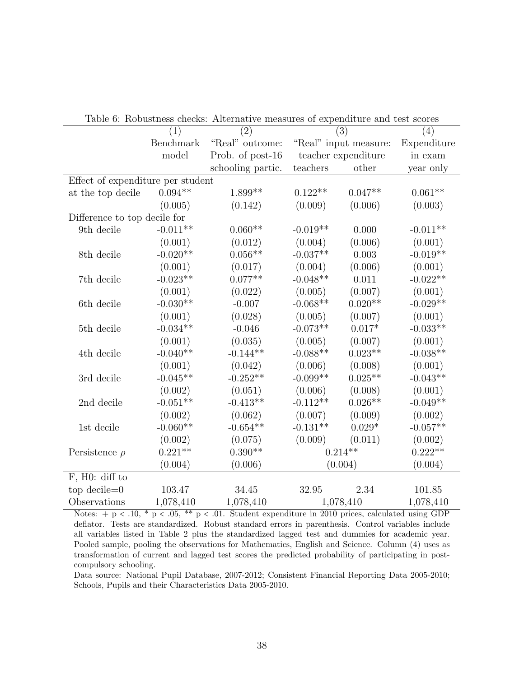| Table 6: RODUSTIESS CRECKS: Afternative measures of expenditure and test scores |            |                   |                       |                     |             |  |
|---------------------------------------------------------------------------------|------------|-------------------|-----------------------|---------------------|-------------|--|
|                                                                                 | (1)        | (2)               | (3)                   |                     | (4)         |  |
|                                                                                 | Benchmark  | "Real" outcome:   | "Real" input measure: |                     | Expenditure |  |
|                                                                                 | model      | Prob. of post-16  |                       | teacher expenditure | in exam     |  |
|                                                                                 |            | schooling partic. | teachers              | other               | year only   |  |
| Effect of expenditure per student                                               |            |                   |                       |                     |             |  |
| at the top decile                                                               | $0.094**$  | $1.899**$         | $0.122**$             | $0.047**$           | $0.061**$   |  |
|                                                                                 | (0.005)    | (0.142)           | (0.009)               | (0.006)             | (0.003)     |  |
| Difference to top decile for                                                    |            |                   |                       |                     |             |  |
| 9th decile                                                                      | $-0.011**$ | $0.060**$         | $-0.019**$            | 0.000               | $-0.011**$  |  |
|                                                                                 | (0.001)    | (0.012)           | (0.004)               | (0.006)             | (0.001)     |  |
| 8th decile                                                                      | $-0.020**$ | $0.056**$         | $-0.037**$            | 0.003               | $-0.019**$  |  |
|                                                                                 | (0.001)    | (0.017)           | (0.004)               | (0.006)             | (0.001)     |  |
| 7th decile                                                                      | $-0.023**$ | $0.077**$         | $-0.048**$            | 0.011               | $-0.022**$  |  |
|                                                                                 | (0.001)    | (0.022)           | (0.005)               | (0.007)             | (0.001)     |  |
| 6th decile                                                                      | $-0.030**$ | $-0.007$          | $-0.068**$            | $0.020**$           | $-0.029**$  |  |
|                                                                                 | (0.001)    | (0.028)           | (0.005)               | (0.007)             | (0.001)     |  |
| 5th decile                                                                      | $-0.034**$ | $-0.046$          | $-0.073**$            | $0.017*$            | $-0.033**$  |  |
|                                                                                 | (0.001)    | (0.035)           | (0.005)               | (0.007)             | (0.001)     |  |
| 4th decile                                                                      | $-0.040**$ | $-0.144**$        | $-0.088**$            | $0.023**$           | $-0.038**$  |  |
|                                                                                 | (0.001)    | (0.042)           | (0.006)               | (0.008)             | (0.001)     |  |
| 3rd decile                                                                      | $-0.045**$ | $-0.252**$        | $-0.099**$            | $0.025**$           | $-0.043**$  |  |
|                                                                                 | (0.002)    | (0.051)           | (0.006)               | (0.008)             | (0.001)     |  |
| 2nd decile                                                                      | $-0.051**$ | $-0.413**$        | $-0.112**$            | $0.026**$           | $-0.049**$  |  |
|                                                                                 | (0.002)    | (0.062)           | (0.007)               | (0.009)             | (0.002)     |  |
| 1st decile                                                                      | $-0.060**$ | $-0.654**$        | $-0.131**$            | $0.029*$            | $-0.057**$  |  |
|                                                                                 | (0.002)    | (0.075)           | (0.009)               | (0.011)             | (0.002)     |  |
| Persistence $\rho$                                                              | $0.221**$  | $0.390**$         | $0.214**$             |                     | $0.222**$   |  |
|                                                                                 | (0.004)    | (0.006)           |                       | (0.004)             | (0.004)     |  |
| F, H0: diff to                                                                  |            |                   |                       |                     |             |  |
| $top$ decile= $0$                                                               | 103.47     | 34.45             | 32.95                 | 2.34                | 101.85      |  |
| Observations                                                                    | 1,078,410  | 1,078,410         | 1,078,410             |                     | 1,078,410   |  |

Table 6: Robustness checks: Alternative measures of expenditure and test scores

Notes: + p < .10, \* p < .05, \*\* p < .01. Student expenditure in 2010 prices, calculated using GDP deflator. Tests are standardized. Robust standard errors in parenthesis. Control variables include all variables listed in Table 2 plus the standardized lagged test and dummies for academic year. Pooled sample, pooling the observations for Mathematics, English and Science. Column (4) uses as transformation of current and lagged test scores the predicted probability of participating in postcompulsory schooling.

Data source: National Pupil Database, 2007-2012; Consistent Financial Reporting Data 2005-2010; Schools, Pupils and their Characteristics Data 2005-2010.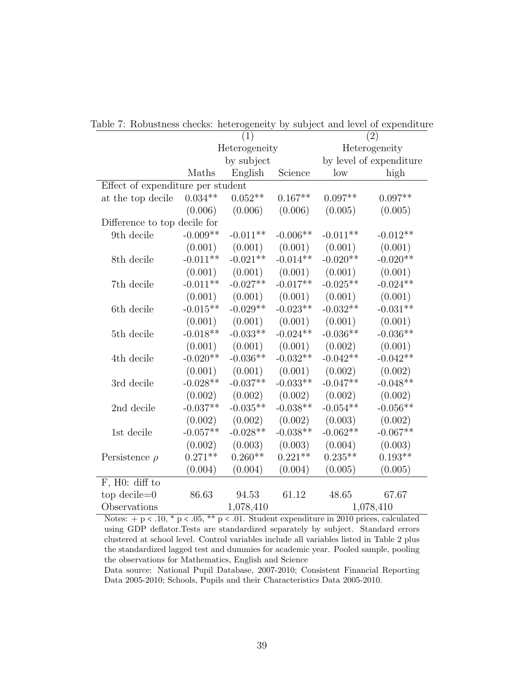|                                   | (1)           |            |            | $\bar{(}2)$             |            |  |
|-----------------------------------|---------------|------------|------------|-------------------------|------------|--|
|                                   | Heterogeneity |            |            | Heterogeneity           |            |  |
|                                   | by subject    |            |            | by level of expenditure |            |  |
|                                   | Maths         | English    | Science    | low                     | high       |  |
| Effect of expenditure per student |               |            |            |                         |            |  |
| at the top decile                 | $0.034**$     | $0.052**$  | $0.167**$  | $0.097**$               | $0.097**$  |  |
|                                   | (0.006)       | (0.006)    | (0.006)    | (0.005)                 | (0.005)    |  |
| Difference to top decile for      |               |            |            |                         |            |  |
| 9th decile                        | $-0.009**$    | $-0.011**$ | $-0.006**$ | $-0.011**$              | $-0.012**$ |  |
|                                   | (0.001)       | (0.001)    | (0.001)    | (0.001)                 | (0.001)    |  |
| 8th decile                        | $-0.011**$    | $-0.021**$ | $-0.014**$ | $-0.020**$              | $-0.020**$ |  |
|                                   | (0.001)       | (0.001)    | (0.001)    | (0.001)                 | (0.001)    |  |
| 7th decile                        | $-0.011**$    | $-0.027**$ | $-0.017**$ | $-0.025**$              | $-0.024**$ |  |
|                                   | (0.001)       | (0.001)    | (0.001)    | (0.001)                 | (0.001)    |  |
| 6th decile                        | $-0.015**$    | $-0.029**$ | $-0.023**$ | $-0.032**$              | $-0.031**$ |  |
|                                   | (0.001)       | (0.001)    | (0.001)    | (0.001)                 | (0.001)    |  |
| 5th decile                        | $-0.018**$    | $-0.033**$ | $-0.024**$ | $-0.036**$              | $-0.036**$ |  |
|                                   | (0.001)       | (0.001)    | (0.001)    | (0.002)                 | (0.001)    |  |
| 4th decile                        | $-0.020**$    | $-0.036**$ | $-0.032**$ | $-0.042**$              | $-0.042**$ |  |
|                                   | (0.001)       | (0.001)    | (0.001)    | (0.002)                 | (0.002)    |  |
| 3rd decile                        | $-0.028**$    | $-0.037**$ | $-0.033**$ | $-0.047**$              | $-0.048**$ |  |
|                                   | (0.002)       | (0.002)    | (0.002)    | (0.002)                 | (0.002)    |  |
| 2nd decile                        | $-0.037**$    | $-0.035**$ | $-0.038**$ | $-0.054**$              | $-0.056**$ |  |
|                                   | (0.002)       | (0.002)    | (0.002)    | (0.003)                 | (0.002)    |  |
| 1st decile                        | $-0.057**$    | $-0.028**$ | $-0.038**$ | $-0.062**$              | $-0.067**$ |  |
|                                   | (0.002)       | (0.003)    | (0.003)    | (0.004)                 | (0.003)    |  |
| Persistence $\rho$                | $0.271**$     | $0.260**$  | $0.221**$  | $0.235**$               | $0.193**$  |  |
|                                   | (0.004)       | (0.004)    | (0.004)    | (0.005)                 | (0.005)    |  |
| F, H0: diff to                    |               |            |            |                         |            |  |
| top decile= $0$                   | 86.63         | 94.53      | 61.12      | 48.65                   | 67.67      |  |
| Observations                      | 1,078,410     |            |            | 1,078,410               |            |  |

Table 7: Robustness checks: heterogeneity by subject and level of expenditure

Notes:  $+p < .10$ ,  $p < .05$ ,  $p < .01$ . Student expenditure in 2010 prices, calculated using GDP deflator.Tests are standardized separately by subject. Standard errors clustered at school level. Control variables include all variables listed in Table 2 plus the standardized lagged test and dummies for academic year. Pooled sample, pooling the observations for Mathematics, English and Science

Data source: National Pupil Database, 2007-2010; Consistent Financial Reporting Data 2005-2010; Schools, Pupils and their Characteristics Data 2005-2010.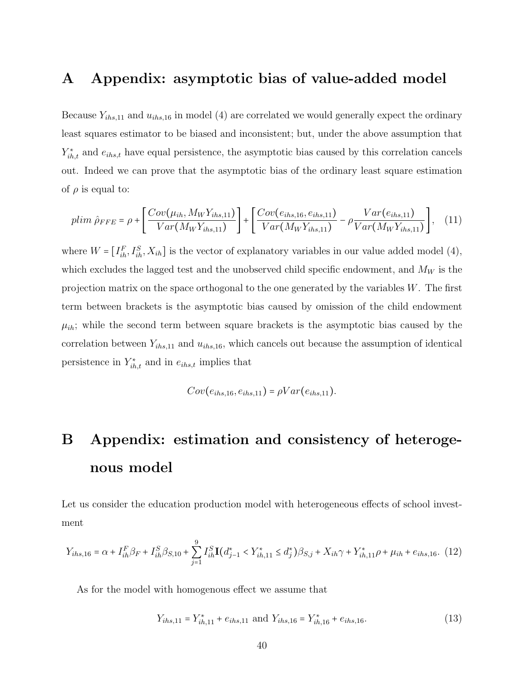### A Appendix: asymptotic bias of value-added model

Because  $Y_{ihs,11}$  and  $u_{ihs,16}$  in model (4) are correlated we would generally expect the ordinary least squares estimator to be biased and inconsistent; but, under the above assumption that  $Y_{ih,t}^*$  and  $e_{ih,s,t}$  have equal persistence, the asymptotic bias caused by this correlation cancels out. Indeed we can prove that the asymptotic bias of the ordinary least square estimation of  $\rho$  is equal to:

$$
plim \ \hat{\rho}_{FFE} = \rho + \left[ \frac{Cov(\mu_{ih}, M_W Y_{ihs,11})}{Var(M_W Y_{ihs,11})} \right] + \left[ \frac{Cov(e_{ihs,16}, e_{ihs,11})}{Var(M_W Y_{ihs,11})} - \rho \frac{Var(e_{ihs,11})}{Var(M_W Y_{ihs,11})} \right], \quad (11)
$$

where  $W = \begin{bmatrix} I_{ih}^F, I_{ih}^S, X_{ih} \end{bmatrix}$  is the vector of explanatory variables in our value added model (4), which excludes the lagged test and the unobserved child specific endowment, and  $M_W$  is the projection matrix on the space orthogonal to the one generated by the variables  $W$ . The first term between brackets is the asymptotic bias caused by omission of the child endowment  $\mu_{ih}$ ; while the second term between square brackets is the asymptotic bias caused by the correlation between  $Y_{ihs,11}$  and  $u_{ihs,16}$ , which cancels out because the assumption of identical persistence in  $Y_{ih,t}^*$  and in  $e_{ihs,t}$  implies that

$$
Cov(e_{ihs,16}, e_{ihs,11}) = \rho Var(e_{ihs,11}).
$$

# B Appendix: estimation and consistency of heterogenous model

Let us consider the education production model with heterogeneous effects of school investment

$$
Y_{ihs,16} = \alpha + I_{ih}^F \beta_F + I_{ih}^S \beta_{S,10} + \sum_{j=1}^9 I_{ih}^S \mathbf{I}(d_{j-1}^* < Y_{ih,11}^* \le d_j^*) \beta_{S,j} + X_{ih} \gamma + Y_{ih,11}^* \rho + \mu_{ih} + e_{ihs,16}.\tag{12}
$$

As for the model with homogenous effect we assume that

$$
Y_{ihs,11} = Y_{ih,11}^* + e_{ihs,11} \text{ and } Y_{ihs,16} = Y_{ih,16}^* + e_{ihs,16}.\tag{13}
$$